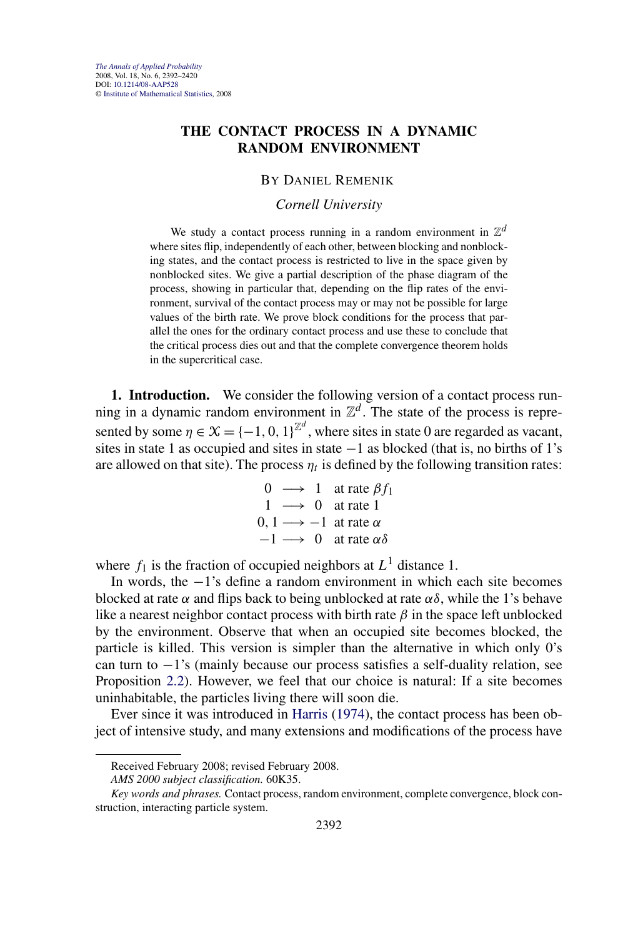# <span id="page-0-0"></span>**THE CONTACT PROCESS IN A DYNAMIC RANDOM ENVIRONMENT**

### BY DANIEL REMENIK

### *Cornell University*

We study a contact process running in a random environment in  $\mathbb{Z}^d$ where sites flip, independently of each other, between blocking and nonblocking states, and the contact process is restricted to live in the space given by nonblocked sites. We give a partial description of the phase diagram of the process, showing in particular that, depending on the flip rates of the environment, survival of the contact process may or may not be possible for large values of the birth rate. We prove block conditions for the process that parallel the ones for the ordinary contact process and use these to conclude that the critical process dies out and that the complete convergence theorem holds in the supercritical case.

**1. Introduction.** We consider the following version of a contact process running in a dynamic random environment in  $\mathbb{Z}^d$ . The state of the process is represented by some  $\eta \in \mathcal{X} = \{-1, 0, 1\}^{\mathbb{Z}^d}$ , where sites in state 0 are regarded as vacant, sites in state 1 as occupied and sites in state  $-1$  as blocked (that is, no births of 1's are allowed on that site). The process  $\eta_t$  is defined by the following transition rates:

$$
0 \longrightarrow 1 \quad \text{at rate } \beta f_1
$$
  
 
$$
1 \longrightarrow 0 \quad \text{at rate } 1
$$
  
 
$$
0, 1 \longrightarrow -1 \quad \text{at rate } \alpha
$$
  
 
$$
-1 \longrightarrow 0 \quad \text{at rate } \alpha \delta
$$

where  $f_1$  is the fraction of occupied neighbors at  $L^1$  distance 1.

In words, the −1's define a random environment in which each site becomes blocked at rate  $\alpha$  and flips back to being unblocked at rate  $\alpha\delta$ , while the 1's behave like a nearest neighbor contact process with birth rate  $\beta$  in the space left unblocked by the environment. Observe that when an occupied site becomes blocked, the particle is killed. This version is simpler than the alternative in which only 0's can turn to −1's (mainly because our process satisfies a self-duality relation, see Proposition [2.2\)](#page-7-0). However, we feel that our choice is natural: If a site becomes uninhabitable, the particles living there will soon die.

Ever since it was introduced in [Harris](#page-28-0) [\(1974\)](#page-28-0), the contact process has been object of intensive study, and many extensions and modifications of the process have

Received February 2008; revised February 2008.

*AMS 2000 subject classification.* 60K35.

*Key words and phrases.* Contact process, random environment, complete convergence, block construction, interacting particle system.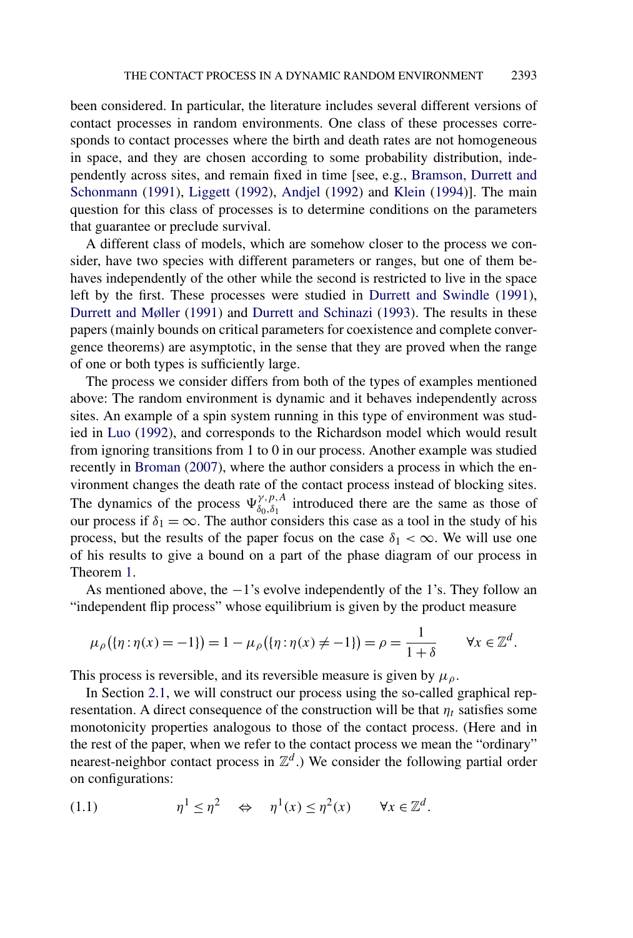<span id="page-1-0"></span>been considered. In particular, the literature includes several different versions of contact processes in random environments. One class of these processes corresponds to contact processes where the birth and death rates are not homogeneous in space, and they are chosen according to some probability distribution, independently across sites, and remain fixed in time [see, e.g., [Bramson, Durrett and](#page-28-0) [Schonmann](#page-28-0) [\(1991\)](#page-28-0), [Liggett](#page-28-0) [\(1992\)](#page-28-0), [Andjel](#page-27-0) [\(1992\)](#page-27-0) and [Klein](#page-28-0) [\(1994\)](#page-28-0)]. The main question for this class of processes is to determine conditions on the parameters that guarantee or preclude survival.

A different class of models, which are somehow closer to the process we consider, have two species with different parameters or ranges, but one of them behaves independently of the other while the second is restricted to live in the space left by the first. These processes were studied in [Durrett and Swindle](#page-28-0) [\(1991\)](#page-28-0), [Durrett and Møller](#page-28-0) [\(1991\)](#page-28-0) and [Durrett and Schinazi](#page-28-0) [\(1993\)](#page-28-0). The results in these papers (mainly bounds on critical parameters for coexistence and complete convergence theorems) are asymptotic, in the sense that they are proved when the range of one or both types is sufficiently large.

The process we consider differs from both of the types of examples mentioned above: The random environment is dynamic and it behaves independently across sites. An example of a spin system running in this type of environment was studied in [Luo](#page-28-0) [\(1992\)](#page-28-0), and corresponds to the Richardson model which would result from ignoring transitions from 1 to 0 in our process. Another example was studied recently in [Broman](#page-28-0) [\(2007\)](#page-28-0), where the author considers a process in which the environment changes the death rate of the contact process instead of blocking sites. The dynamics of the process  $\Psi_{\delta_0,\delta_1}^{\gamma,p,A}$  introduced there are the same as those of our process if  $\delta_1 = \infty$ . The author considers this case as a tool in the study of his process, but the results of the paper focus on the case  $\delta_1 < \infty$ . We will use one of his results to give a bound on a part of the phase diagram of our process in Theorem [1.](#page-2-0)

As mentioned above, the −1's evolve independently of the 1's. They follow an "independent flip process" whose equilibrium is given by the product measure

$$
\mu_{\rho}(\{\eta : \eta(x) = -1\}) = 1 - \mu_{\rho}(\{\eta : \eta(x) \neq -1\}) = \rho = \frac{1}{1+\delta} \qquad \forall x \in \mathbb{Z}^d.
$$

This process is reversible, and its reversible measure is given by  $\mu_{\rho}$ .

In Section [2.1,](#page-4-0) we will construct our process using the so-called graphical representation. A direct consequence of the construction will be that  $\eta_t$  satisfies some monotonicity properties analogous to those of the contact process. (Here and in the rest of the paper, when we refer to the contact process we mean the "ordinary" nearest-neighbor contact process in  $\mathbb{Z}^d$ .) We consider the following partial order on configurations:

(1.1) 
$$
\eta^1 \leq \eta^2 \quad \Leftrightarrow \quad \eta^1(x) \leq \eta^2(x) \qquad \forall x \in \mathbb{Z}^d.
$$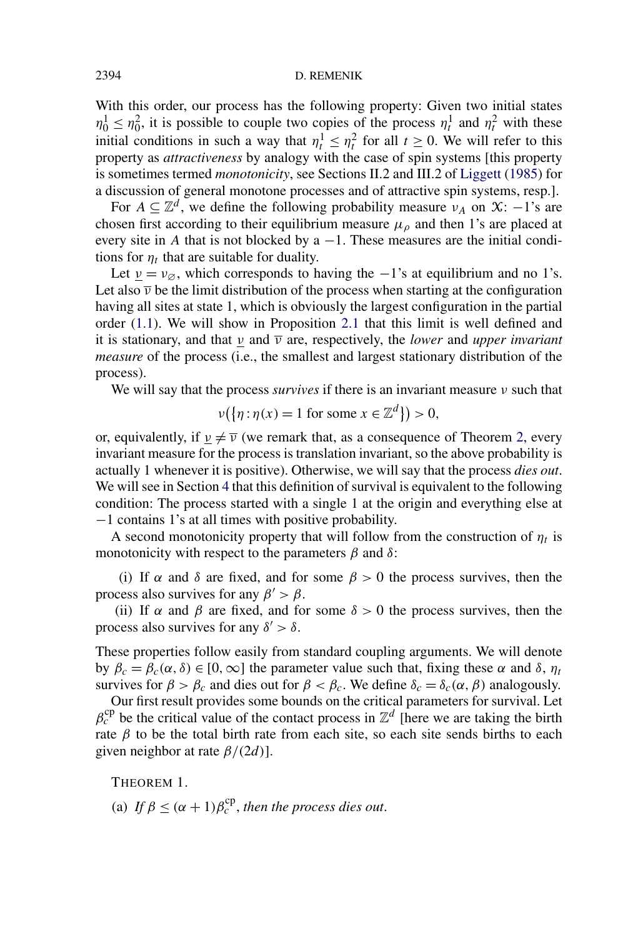With this order, our process has the following property: Given two initial states  $n_0^1 \leq n_0^2$ , it is possible to couple two copies of the process  $n_t^1$  and  $n_t^2$  with these initial conditions in such a way that  $\eta_t^1 \leq \eta_t^2$  for all  $t \geq 0$ . We will refer to this property as *attractiveness* by analogy with the case of spin systems [this property is sometimes termed *monotonicity*, see Sections II.2 and III.2 of [Liggett](#page-28-0) [\(1985\)](#page-28-0) for a discussion of general monotone processes and of attractive spin systems, resp.].

For  $A \subseteq \mathbb{Z}^d$ , we define the following probability measure  $v_A$  on  $\mathfrak{X}: -1$ 's are chosen first according to their equilibrium measure  $\mu_{\rho}$  and then 1's are placed at every site in *A* that is not blocked by  $a - 1$ . These measures are the initial conditions for  $\eta_t$  that are suitable for duality.

Let  $\nu = \nu_{\emptyset}$ , which corresponds to having the −1's at equilibrium and no 1's. Let also  $\overline{v}$  be the limit distribution of the process when starting at the configuration having all sites at state 1, which is obviously the largest configuration in the partial order [\(1.1\)](#page-1-0). We will show in Proposition [2.1](#page-6-0) that this limit is well defined and it is stationary, and that *ν* and *ν* are, respectively, the *lower* and *upper invariant measure* of the process (i.e., the smallest and largest stationary distribution of the process).

We will say that the process *survives* if there is an invariant measure *ν* such that

$$
\nu({\eta : \eta(x) = 1 \text{ for some } x \in \mathbb{Z}^d}) > 0,
$$

or, equivalently, if  $v \neq \overline{v}$  (we remark that, as a consequence of Theorem [2,](#page-4-0) every invariant measure for the process is translation invariant, so the above probability is actually 1 whenever it is positive). Otherwise, we will say that the process *dies out*. We will see in Section [4](#page-13-0) that this definition of survival is equivalent to the following condition: The process started with a single 1 at the origin and everything else at −1 contains 1's at all times with positive probability.

A second monotonicity property that will follow from the construction of  $\eta_t$  is monotonicity with respect to the parameters  $\beta$  and  $\delta$ :

(i) If  $\alpha$  and  $\delta$  are fixed, and for some  $\beta > 0$  the process survives, then the process also survives for any  $\beta' > \beta$ .

(ii) If  $\alpha$  and  $\beta$  are fixed, and for some  $\delta > 0$  the process survives, then the process also survives for any  $\delta' > \delta$ .

These properties follow easily from standard coupling arguments. We will denote by *βc* = *βc(α,δ)* ∈ [0*,*∞] the parameter value such that, fixing these *α* and *δ*, *ηt* survives for  $\beta > \beta_c$  and dies out for  $\beta < \beta_c$ . We define  $\delta_c = \delta_c(\alpha, \beta)$  analogously.

Our first result provides some bounds on the critical parameters for survival. Let  $\beta_c^{\text{cp}}$  be the critical value of the contact process in  $\mathbb{Z}^d$  [here we are taking the birth rate  $β$  to be the total birth rate from each site, so each site sends births to each given neighbor at rate *β/(*2*d)*].

THEOREM 1.

(a) If  $\beta \leq (\alpha + 1)\beta_c^{\text{cp}}$ , *then the process dies out.* 

<span id="page-2-0"></span>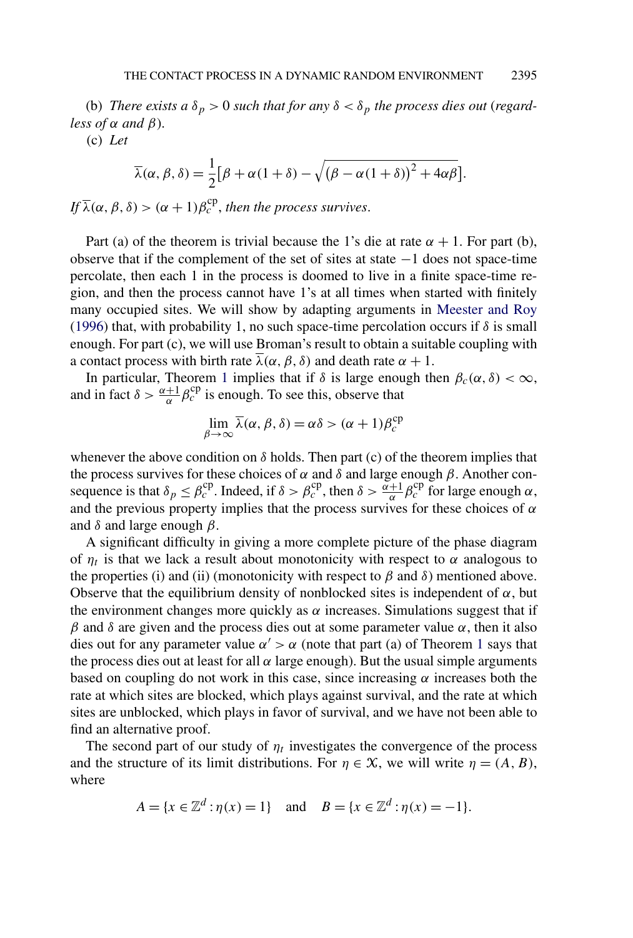(b) *There exists a*  $\delta_p > 0$  *such that for any*  $\delta < \delta_p$  *the process dies out (regardless of*  $\alpha$  *and*  $\beta$ *).* 

(c) *Let*

$$
\overline{\lambda}(\alpha,\beta,\delta) = \frac{1}{2} [\beta + \alpha(1+\delta) - \sqrt{(\beta - \alpha(1+\delta))^2 + 4\alpha\beta}].
$$

*If*  $\overline{\lambda}(\alpha, \beta, \delta) > (\alpha + 1)\beta_c^{\text{cp}}$ , then the process survives.

Part (a) of the theorem is trivial because the 1's die at rate  $\alpha + 1$ . For part (b), observe that if the complement of the set of sites at state −1 does not space-time percolate, then each 1 in the process is doomed to live in a finite space-time region, and then the process cannot have 1's at all times when started with finitely many occupied sites. We will show by adapting arguments in [Meester and Roy](#page-28-0) [\(1996\)](#page-28-0) that, with probability 1, no such space-time percolation occurs if  $\delta$  is small enough. For part (c), we will use Broman's result to obtain a suitable coupling with a contact process with birth rate  $\lambda(\alpha, \beta, \delta)$  and death rate  $\alpha + 1$ .

In particular, Theorem [1](#page-2-0) implies that if *δ* is large enough then  $β<sub>c</sub>(α, δ) < ∞$ , and in fact  $\delta > \frac{\alpha+1}{\alpha} \beta_c^{\text{cp}}$  is enough. To see this, observe that

$$
\lim_{\beta \to \infty} \overline{\lambda}(\alpha, \beta, \delta) = \alpha \delta > (\alpha + 1)\beta_c^{\rm cp}
$$

whenever the above condition on  $\delta$  holds. Then part (c) of the theorem implies that the process survives for these choices of *α* and *δ* and large enough *β*. Another consequence is that  $\delta_p \leq \beta_c^{\text{cp}}$ . Indeed, if  $\delta > \beta_c^{\text{cp}}$ , then  $\delta > \frac{\alpha+1}{\alpha} \beta_c^{\text{cp}}$  for large enough  $\alpha$ , and the previous property implies that the process survives for these choices of *α* and *δ* and large enough *β*.

A significant difficulty in giving a more complete picture of the phase diagram of  $\eta_t$  is that we lack a result about monotonicity with respect to  $\alpha$  analogous to the properties (i) and (ii) (monotonicity with respect to  $\beta$  and  $\delta$ ) mentioned above. Observe that the equilibrium density of nonblocked sites is independent of  $\alpha$ , but the environment changes more quickly as  $\alpha$  increases. Simulations suggest that if *β* and *δ* are given and the process dies out at some parameter value *α*, then it also dies out for any parameter value  $\alpha' > \alpha$  (note that part (a) of Theorem [1](#page-2-0) says that the process dies out at least for all  $\alpha$  large enough). But the usual simple arguments based on coupling do not work in this case, since increasing  $\alpha$  increases both the rate at which sites are blocked, which plays against survival, and the rate at which sites are unblocked, which plays in favor of survival, and we have not been able to find an alternative proof.

The second part of our study of  $\eta_t$  investigates the convergence of the process and the structure of its limit distributions. For  $\eta \in \mathcal{X}$ , we will write  $\eta = (A, B)$ , where

$$
A = \{x \in \mathbb{Z}^d : \eta(x) = 1\}
$$
 and  $B = \{x \in \mathbb{Z}^d : \eta(x) = -1\}.$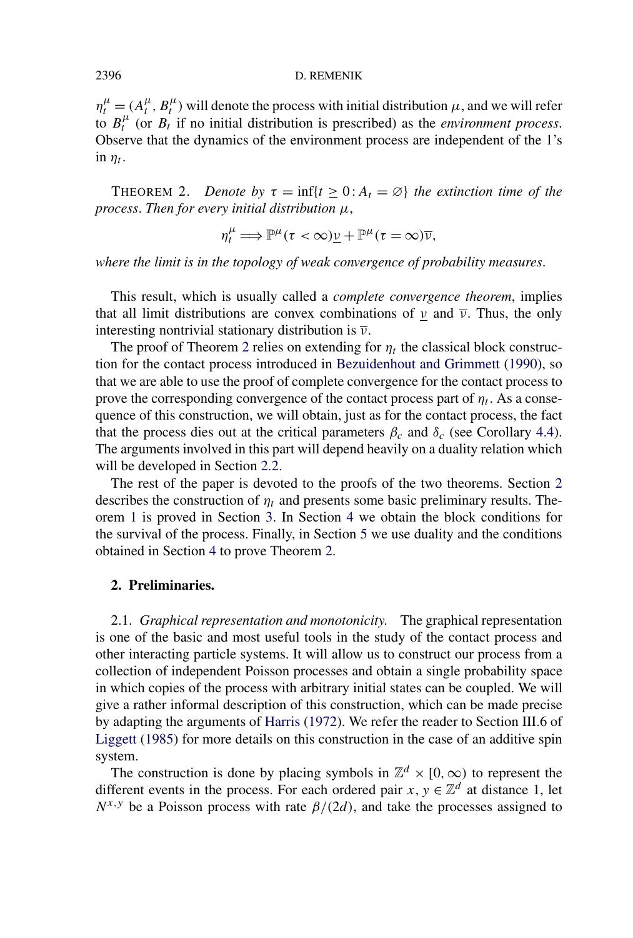$\eta_t^{\mu} = (A_t^{\mu}, B_t^{\mu})$  will denote the process with initial distribution  $\mu$ , and we will refer to  $B_t^{\mu}$  (or  $B_t$  if no initial distribution is prescribed) as the *environment process*. Observe that the dynamics of the environment process are independent of the 1's in  $\eta_t$ .

THEOREM 2. *Denote by*  $\tau = \inf\{t \geq 0 : A_t = \emptyset\}$  *the extinction time of the process*. *Then for every initial distribution μ*,

$$
\eta_t^{\mu} \Longrightarrow \mathbb{P}^{\mu}(\tau < \infty) \underline{\nu} + \mathbb{P}^{\mu}(\tau = \infty) \overline{\nu},
$$

*where the limit is in the topology of weak convergence of probability measures*.

This result, which is usually called a *complete convergence theorem*, implies that all limit distributions are convex combinations of  $\nu$  and  $\overline{\nu}$ . Thus, the only interesting nontrivial stationary distribution is *ν*.

The proof of Theorem 2 relies on extending for  $\eta_t$  the classical block construction for the contact process introduced in [Bezuidenhout and Grimmett](#page-27-0) [\(1990\)](#page-27-0), so that we are able to use the proof of complete convergence for the contact process to prove the corresponding convergence of the contact process part of  $\eta_t$ . As a consequence of this construction, we will obtain, just as for the contact process, the fact that the process dies out at the critical parameters  $\beta_c$  and  $\delta_c$  (see Corollary [4.4\)](#page-19-0). The arguments involved in this part will depend heavily on a duality relation which will be developed in Section [2.2.](#page-6-0)

The rest of the paper is devoted to the proofs of the two theorems. Section 2 describes the construction of  $\eta_t$  and presents some basic preliminary results. Theorem [1](#page-2-0) is proved in Section [3.](#page-9-0) In Section [4](#page-13-0) we obtain the block conditions for the survival of the process. Finally, in Section [5](#page-19-0) we use duality and the conditions obtained in Section [4](#page-13-0) to prove Theorem 2.

## **2. Preliminaries.**

2.1. *Graphical representation and monotonicity*. The graphical representation is one of the basic and most useful tools in the study of the contact process and other interacting particle systems. It will allow us to construct our process from a collection of independent Poisson processes and obtain a single probability space in which copies of the process with arbitrary initial states can be coupled. We will give a rather informal description of this construction, which can be made precise by adapting the arguments of [Harris](#page-28-0) [\(1972\)](#page-28-0). We refer the reader to Section III.6 of [Liggett](#page-28-0) [\(1985\)](#page-28-0) for more details on this construction in the case of an additive spin system.

The construction is done by placing symbols in  $\mathbb{Z}^d \times [0, \infty)$  to represent the different events in the process. For each ordered pair  $x, y \in \mathbb{Z}^d$  at distance 1, let  $N^{x,y}$  be a Poisson process with rate  $\beta/(2d)$ , and take the processes assigned to

<span id="page-4-0"></span>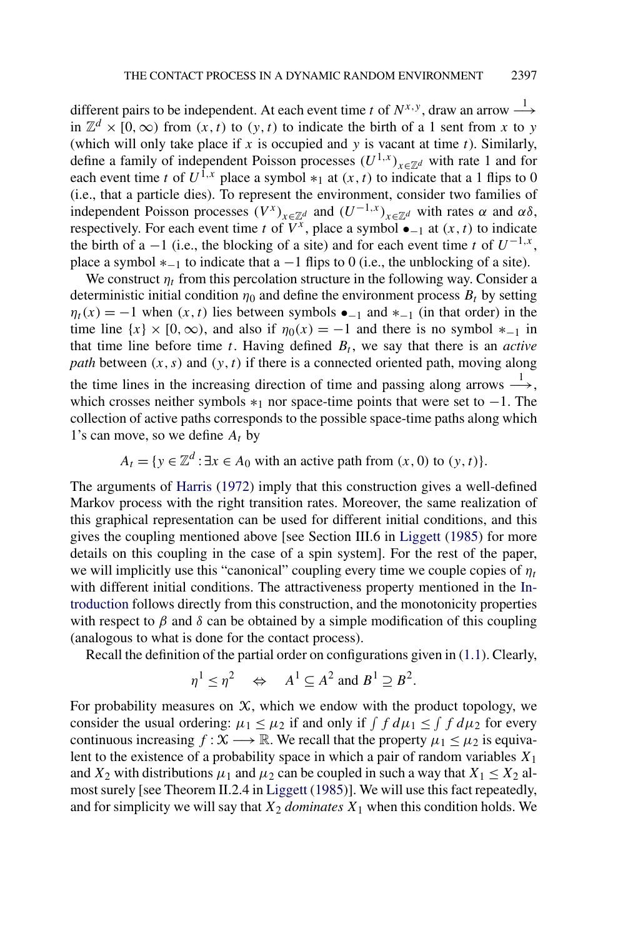different pairs to be independent. At each event time *t* of  $N^{x,y}$ , draw an arrow  $\stackrel{1}{\longrightarrow}$ in  $\mathbb{Z}^d$  × [0, ∞) from  $(x, t)$  to  $(y, t)$  to indicate the birth of a 1 sent from *x* to *y* (which will only take place if  $x$  is occupied and  $y$  is vacant at time  $t$ ). Similarly, define a family of independent Poisson processes  $(U^{1,x})_{x \in \mathbb{Z}^d}$  with rate 1 and for each event time *t* of  $U^{\hat{1},x}$  place a symbol  $*_1$  at  $(x, t)$  to indicate that a 1 flips to 0 (i.e., that a particle dies). To represent the environment, consider two families of independent Poisson processes  $(V^x)_{x \in \mathbb{Z}^d}$  and  $(U^{-1,x})_{x \in \mathbb{Z}^d}$  with rates  $\alpha$  and  $\alpha\delta$ , respectively. For each event time *t* of  $V^x$ , place a symbol  $\bullet_{-1}$  at  $(x, t)$  to indicate the birth of a  $-1$  (i.e., the blocking of a site) and for each event time *t* of  $U^{-1,x}$ , place a symbol  $*_{-1}$  to indicate that a  $-1$  flips to 0 (i.e., the unblocking of a site).

We construct  $\eta_t$  from this percolation structure in the following way. Consider a deterministic initial condition  $\eta_0$  and define the environment process  $B_t$  by setting  $\eta_t(x) = -1$  when  $(x, t)$  lies between symbols  $\bullet_{-1}$  and  $*_{-1}$  (in that order) in the time line  $\{x\} \times [0, \infty)$ , and also if  $\eta_0(x) = -1$  and there is no symbol  $*_{-1}$  in that time line before time  $t$ . Having defined  $B_t$ , we say that there is an *active path* between *(x,s)* and *(y,t)* if there is a connected oriented path, moving along the time lines in the increasing direction of time and passing along arrows  $\stackrel{1}{\longrightarrow}$ , which crosses neither symbols  $*_1$  nor space-time points that were set to −1. The collection of active paths corresponds to the possible space-time paths along which 1's can move, so we define *At* by

$$
A_t = \{ y \in \mathbb{Z}^d : \exists x \in A_0 \text{ with an active path from } (x, 0) \text{ to } (y, t) \}.
$$

The arguments of [Harris](#page-28-0) [\(1972\)](#page-28-0) imply that this construction gives a well-defined Markov process with the right transition rates. Moreover, the same realization of this graphical representation can be used for different initial conditions, and this gives the coupling mentioned above [see Section III.6 in [Liggett](#page-28-0) [\(1985\)](#page-28-0) for more details on this coupling in the case of a spin system]. For the rest of the paper, we will implicitly use this "canonical" coupling every time we couple copies of  $\eta_t$ with different initial conditions. The attractiveness property mentioned in the [In](#page-0-0)[troduction](#page-0-0) follows directly from this construction, and the monotonicity properties with respect to  $\beta$  and  $\delta$  can be obtained by a simple modification of this coupling (analogous to what is done for the contact process).

Recall the definition of the partial order on configurations given in [\(1.1\)](#page-1-0). Clearly,

$$
\eta^1 \leq \eta^2 \quad \Leftrightarrow \quad A^1 \subseteq A^2 \text{ and } B^1 \supseteq B^2.
$$

For probability measures on  $X$ , which we endow with the product topology, we consider the usual ordering:  $\mu_1 \leq \mu_2$  if and only if  $\int f d\mu_1 \leq \int f d\mu_2$  for every continuous increasing  $f : \mathcal{X} \longrightarrow \mathbb{R}$ . We recall that the property  $\mu_1 \leq \mu_2$  is equivalent to the existence of a probability space in which a pair of random variables *X*<sup>1</sup> and  $X_2$  with distributions  $\mu_1$  and  $\mu_2$  can be coupled in such a way that  $X_1 \leq X_2$  almost surely [see Theorem II.2.4 in [Liggett](#page-28-0) [\(1985\)](#page-28-0)]. We will use this fact repeatedly, and for simplicity we will say that  $X_2$  *dominates*  $X_1$  when this condition holds. We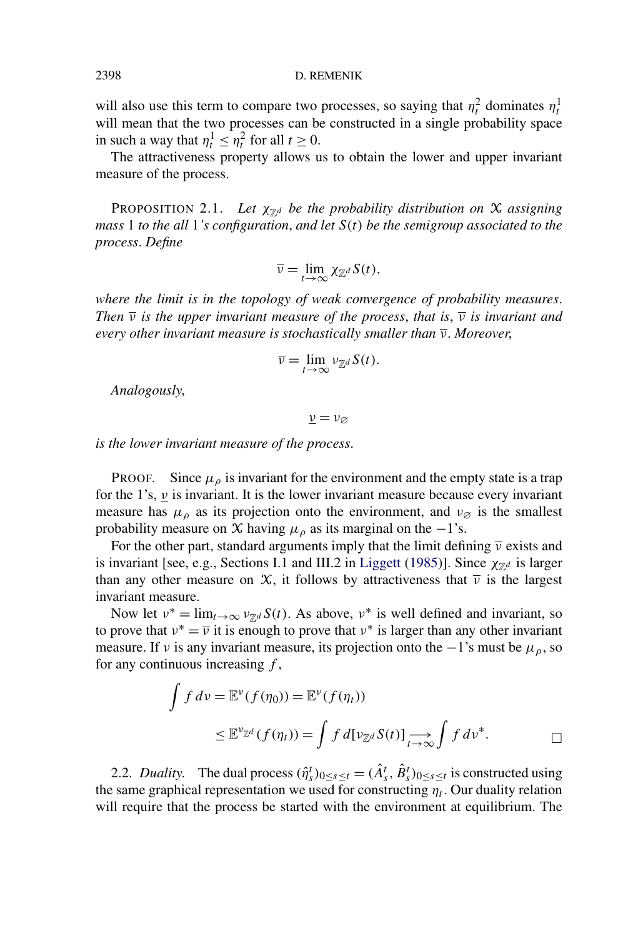will also use this term to compare two processes, so saying that  $\eta_t^2$  dominates  $\eta_t^1$ will mean that the two processes can be constructed in a single probability space in such a way that  $\eta_t^1 \leq \eta_t^2$  for all  $t \geq 0$ .

The attractiveness property allows us to obtain the lower and upper invariant measure of the process.

PROPOSITION 2.1. Let  $\chi_{\mathbb{Z}^d}$  *be the probability distribution on*  $\mathcal X$  *assigning mass* 1 *to the all* 1*'s configuration*, *and let S(t) be the semigroup associated to the process*. *Define*

$$
\overline{\nu} = \lim_{t \to \infty} \chi_{\mathbb{Z}^d} S(t),
$$

*where the limit is in the topology of weak convergence of probability measures*. *Then*  $\overline{v}$  *is the upper invariant measure of the process, that is,*  $\overline{v}$  *is invariant and every other invariant measure is stochastically smaller than ν*. *Moreover*,

$$
\overline{\nu} = \lim_{t \to \infty} \nu_{\mathbb{Z}^d} S(t).
$$

*Analogously*,

*ν* = *ν*∅

*is the lower invariant measure of the process*.

PROOF. Since  $\mu_{\rho}$  is invariant for the environment and the empty state is a trap for the 1's, *ν* is invariant. It is the lower invariant measure because every invariant measure has  $\mu_{\rho}$  as its projection onto the environment, and  $\nu_{\varnothing}$  is the smallest probability measure on X having  $\mu_{\rho}$  as its marginal on the −1's.

For the other part, standard arguments imply that the limit defining *ν* exists and is invariant [see, e.g., Sections I.1 and III.2 in [Liggett](#page-28-0) [\(1985\)](#page-28-0)]. Since  $\chi_{\mathbb{Z}^d}$  is larger than any other measure on  $\mathcal{X}$ , it follows by attractiveness that  $\bar{\nu}$  is the largest invariant measure.

Now let  $v^* = \lim_{t \to \infty} v_{\mathbb{Z}^d} S(t)$ . As above,  $v^*$  is well defined and invariant, so to prove that  $v^* = \overline{v}$  it is enough to prove that  $v^*$  is larger than any other invariant measure. If *v* is any invariant measure, its projection onto the  $-1$ 's must be  $\mu_{\rho}$ , so for any continuous increasing *f* ,

$$
\int f \, dv = \mathbb{E}^{\nu}(f(\eta_0)) = \mathbb{E}^{\nu}(f(\eta_t))
$$
\n
$$
\leq \mathbb{E}^{\nu_{\mathbb{Z}^d}}(f(\eta_t)) = \int f \, d[\nu_{\mathbb{Z}^d} S(t)] \xrightarrow[t \to \infty]{} \int f \, d\nu^*.
$$

2.2. *Duality*. The dual process  $(\hat{\eta}_s^t)_{0 \le s \le t} = (\hat{A}_s^t, \hat{B}_s^t)_{0 \le s \le t}$  is constructed using the same graphical representation we used for constructing  $\eta_t$ . Our duality relation will require that the process be started with the environment at equilibrium. The

<span id="page-6-0"></span>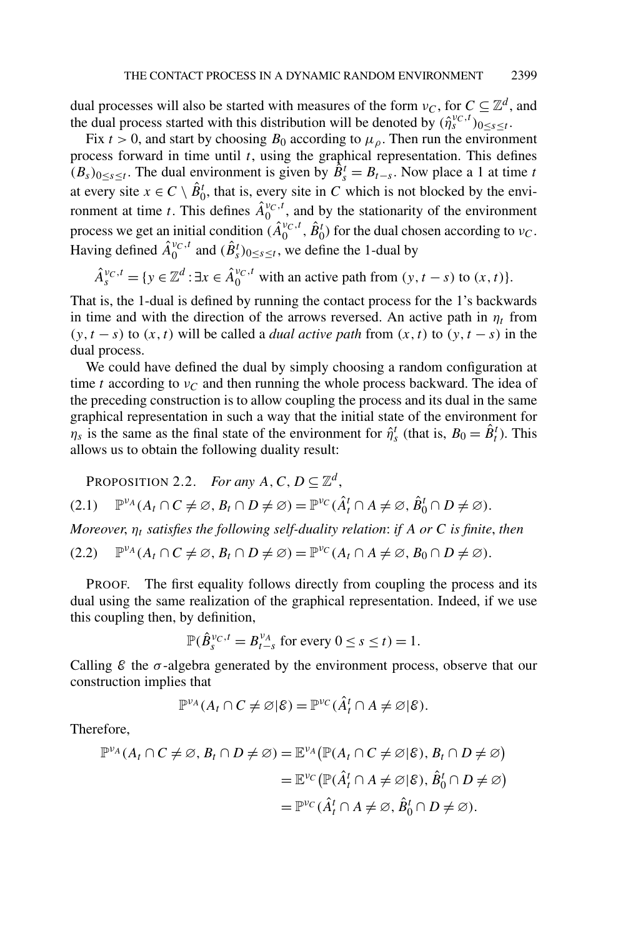<span id="page-7-0"></span>dual processes will also be started with measures of the form  $v_c$ , for  $C \subseteq \mathbb{Z}^d$ , and the dual process started with this distribution will be denoted by  $(\hat{\eta}_s^{\nu_C,t})_{0 \leq s \leq t}$ .

Fix  $t > 0$ , and start by choosing  $B_0$  according to  $\mu_0$ . Then run the environment process forward in time until *t*, using the graphical representation. This defines  $(B_s)_{0 \le s \le t}$ . The dual environment is given by  $\hat{B}_s^t = B_{t-s}$ . Now place a 1 at time *t* at every site  $x \in C \setminus \hat{B}_0^t$ , that is, every site in *C* which is not blocked by the environment at time *t*. This defines  $\hat{A}^{\nu_C,t}_0$ , and by the stationarity of the environment process we get an initial condition  $(\hat{A}_0^{v_C,t}, \hat{B}_0^t)$  for the dual chosen according to  $v_C$ . Having defined  $\hat{A}_0^{\nu_C,t}$  and  $(\hat{B}_s^t)_{0 \le s \le t}$ , we define the 1-dual by

$$
\hat{A}_s^{v_C,t} = \{ y \in \mathbb{Z}^d : \exists x \in \hat{A}_0^{v_C,t} \text{ with an active path from } (y, t-s) \text{ to } (x, t) \}.
$$

That is, the 1-dual is defined by running the contact process for the 1's backwards in time and with the direction of the arrows reversed. An active path in  $\eta_t$  from  $(y, t - s)$  to  $(x, t)$  will be called a *dual active path* from  $(x, t)$  to  $(y, t - s)$  in the dual process.

We could have defined the dual by simply choosing a random configuration at time *t* according to  $v_c$  and then running the whole process backward. The idea of the preceding construction is to allow coupling the process and its dual in the same graphical representation in such a way that the initial state of the environment for *n<sub>s</sub>* is the same as the final state of the environment for  $\hat{\eta}_s^t$  (that is,  $B_0 = \hat{B}_t^t$ ). This allows us to obtain the following duality result:

PROPOSITION 2.2. *For any*  $A, C, D \subseteq \mathbb{Z}^d$ ,

$$
(2.1) \quad \mathbb{P}^{\nu_A}(A_t \cap C \neq \varnothing, B_t \cap D \neq \varnothing) = \mathbb{P}^{\nu_C}(\hat{A}_t^t \cap A \neq \varnothing, \hat{B}_0^t \cap D \neq \varnothing).
$$

*Moreover*, *ηt satisfies the following self-duality relation*: *if A or C is finite*, *then*

$$
(2.2) \quad \mathbb{P}^{\nu_A}(A_t \cap C \neq \emptyset, B_t \cap D \neq \emptyset) = \mathbb{P}^{\nu_C}(A_t \cap A \neq \emptyset, B_0 \cap D \neq \emptyset).
$$

PROOF. The first equality follows directly from coupling the process and its dual using the same realization of the graphical representation. Indeed, if we use this coupling then, by definition,

$$
\mathbb{P}(\hat{B}_s^{\nu_C,t}=B_{t-s}^{\nu_A} \text{ for every } 0 \leq s \leq t) = 1.
$$

Calling  $\mathcal E$  the  $\sigma$ -algebra generated by the environment process, observe that our construction implies that

$$
\mathbb{P}^{\nu_A}(A_t \cap C \neq \varnothing | \mathcal{E}) = \mathbb{P}^{\nu_C}(\hat{A}_t^t \cap A \neq \varnothing | \mathcal{E}).
$$

Therefore,

$$
\mathbb{P}^{\nu_A}(A_t \cap C \neq \varnothing, B_t \cap D \neq \varnothing) = \mathbb{E}^{\nu_A}(\mathbb{P}(A_t \cap C \neq \varnothing | \mathcal{E}), B_t \cap D \neq \varnothing)
$$
  
=  $\mathbb{E}^{\nu_C}(\mathbb{P}(\hat{A}_t^t \cap A \neq \varnothing | \mathcal{E}), \hat{B}_0^t \cap D \neq \varnothing)$   
=  $\mathbb{P}^{\nu_C}(\hat{A}_t^t \cap A \neq \varnothing, \hat{B}_0^t \cap D \neq \varnothing).$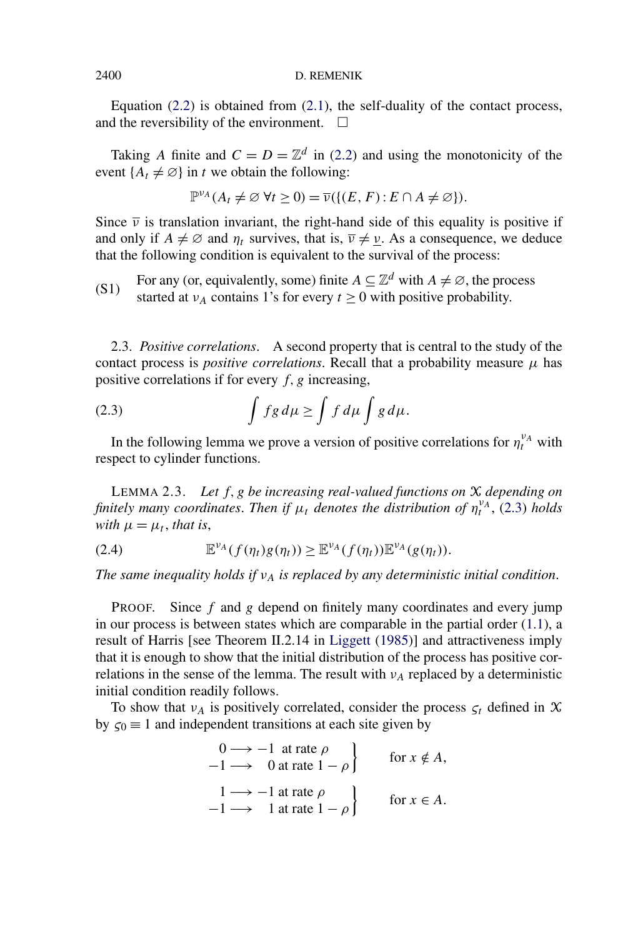<span id="page-8-0"></span>Equation  $(2.2)$  is obtained from  $(2.1)$ , the self-duality of the contact process, and the reversibility of the environment.  $\Box$ 

Taking *A* finite and  $C = D = \mathbb{Z}^d$  in [\(2.2\)](#page-7-0) and using the monotonicity of the event  $\{A_t \neq \emptyset\}$  in *t* we obtain the following:

$$
\mathbb{P}^{\nu_A}(A_t \neq \emptyset \ \forall t \geq 0) = \overline{\nu}(\{(E, F) : E \cap A \neq \emptyset\}).
$$

Since  $\bar{\nu}$  is translation invariant, the right-hand side of this equality is positive if and only if  $A \neq \emptyset$  and  $\eta_t$  survives, that is,  $\overline{v} \neq \underline{v}$ . As a consequence, we deduce that the following condition is equivalent to the survival of the process:

For any (or, equivalently, some) finite  $A \subseteq \mathbb{Z}^d$  with  $A \neq \emptyset$ , the process (S1) For any (or, equivalently, some) finite  $A \subseteq \mathbb{Z}$  with  $A \neq \infty$ , the probability started at  $\nu_A$  contains 1's for every  $t \ge 0$  with positive probability.

2.3. *Positive correlations*. A second property that is central to the study of the contact process is *positive correlations*. Recall that a probability measure  $\mu$  has positive correlations if for every  $f$ ,  $g$  increasing,

(2.3) 
$$
\int fg d\mu \ge \int f d\mu \int g d\mu.
$$

In the following lemma we prove a version of positive correlations for  $\eta_t^{\nu_A}$  with respect to cylinder functions.

LEMMA 2.3. *Let f,g be increasing real-valued functions on* X *depending on finitely many coordinates. Then if*  $\mu_t$  *denotes the distribution of*  $\eta_t^{\nu_A}$ , (2.3) *holds with*  $\mu = \mu_t$ , *that is*,

$$
(2.4) \t\t\t \mathbb{E}^{\nu_A}(f(\eta_t)g(\eta_t)) \geq \mathbb{E}^{\nu_A}(f(\eta_t))\mathbb{E}^{\nu_A}(g(\eta_t)).
$$

*The same inequality holds if*  $v_A$  *is replaced by any deterministic initial condition.* 

PROOF. Since *f* and *g* depend on finitely many coordinates and every jump in our process is between states which are comparable in the partial order  $(1.1)$ , a result of Harris [see Theorem II.2.14 in [Liggett](#page-28-0) [\(1985\)](#page-28-0)] and attractiveness imply that it is enough to show that the initial distribution of the process has positive correlations in the sense of the lemma. The result with  $v_A$  replaced by a deterministic initial condition readily follows.

To show that  $v_A$  is positively correlated, consider the process  $\zeta_t$  defined in X by  $\zeta_0 = 1$  and independent transitions at each site given by

$$
\begin{aligned}\n0 &\longrightarrow -1 \text{ at rate } \rho \\
-1 &\longrightarrow 0 \text{ at rate } 1 - \rho\n\end{aligned}\n\quad \text{for } x \notin A,
$$
\n
$$
\begin{aligned}\n1 &\longrightarrow -1 \text{ at rate } \rho \\
-1 &\longrightarrow 1 \text{ at rate } 1 - \rho\n\end{aligned}\n\quad \text{for } x \in A.
$$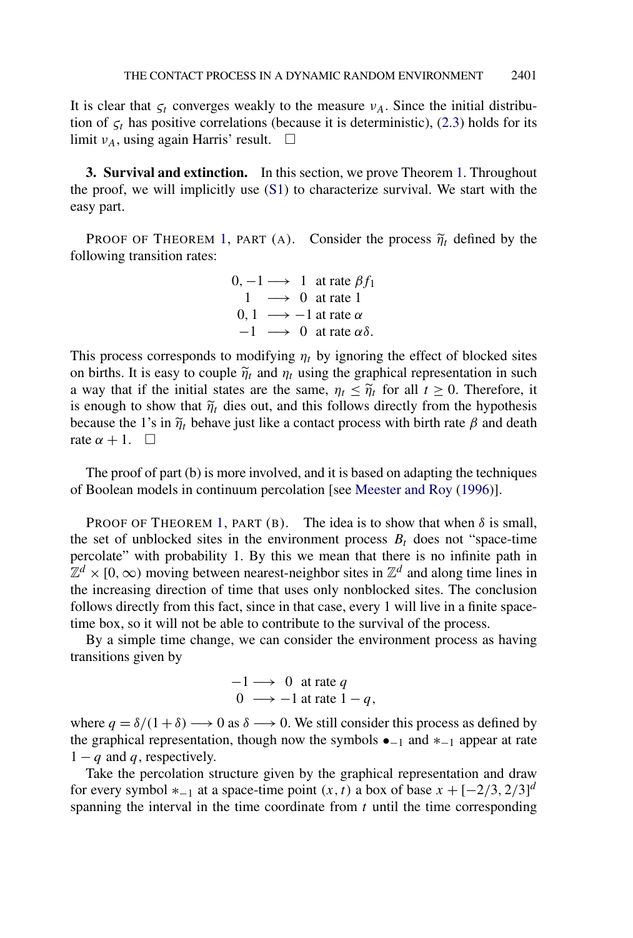<span id="page-9-0"></span>It is clear that  $\zeta_t$  converges weakly to the measure  $\nu_A$ . Since the initial distribution of  $\zeta_t$  has positive correlations (because it is deterministic), [\(2.3\)](#page-8-0) holds for its limit  $v_A$ , using again Harris' result.  $\Box$ 

**3. Survival and extinction.** In this section, we prove Theorem [1.](#page-2-0) Throughout the proof, we will implicitly use  $(S1)$  to characterize survival. We start with the easy part.

**PROOF OF THEOREM [1,](#page-2-0) PART (A).** Consider the process  $\tilde{\eta}_t$  defined by the following transition rates:

|      |  | $0, -1 \longrightarrow 1$ at rate $\beta f_1$ |
|------|--|-----------------------------------------------|
|      |  | $1 \rightarrow 0$ at rate 1                   |
| 0.1  |  | $\rightarrow -1$ at rate $\alpha$             |
| $-1$ |  | $\longrightarrow 0$ at rate $\alpha\delta$ .  |

This process corresponds to modifying  $\eta_t$  by ignoring the effect of blocked sites on births. It is easy to couple  $\tilde{\eta}_t$  and  $\eta_t$  using the graphical representation in such a way that if the initial states are the same,  $\eta_t \leq \tilde{\eta}_t$  for all  $t \geq 0$ . Therefore, it is enough to show that  $\tilde{\eta}_t$  dies out, and this follows directly from the hypothesis because the 1's in  $\tilde{\eta}_t$  behave just like a contact process with birth rate  $\beta$  and death rate  $\alpha + 1$ .  $\Box$ 

The proof of part (b) is more involved, and it is based on adapting the techniques of Boolean models in continuum percolation [see [Meester and Roy](#page-28-0) [\(1996\)](#page-28-0)].

PROOF OF THEOREM [1,](#page-2-0) PART (B). The idea is to show that when  $\delta$  is small, the set of unblocked sites in the environment process  $B_t$  does not "space-time" percolate" with probability 1. By this we mean that there is no infinite path in  $\mathbb{Z}^d$  × [0, ∞) moving between nearest-neighbor sites in  $\mathbb{Z}^d$  and along time lines in the increasing direction of time that uses only nonblocked sites. The conclusion follows directly from this fact, since in that case, every 1 will live in a finite spacetime box, so it will not be able to contribute to the survival of the process.

By a simple time change, we can consider the environment process as having transitions given by

$$
-1 \longrightarrow 0 \text{ at rate } q
$$
  
0 \longrightarrow -1 at rate  $1 - q$ ,

where  $q = \delta/(1 + \delta) \rightarrow 0$  as  $\delta \rightarrow 0$ . We still consider this process as defined by the graphical representation, though now the symbols  $\bullet$ <sub>-1</sub> and  $*$ <sub>-1</sub> appear at rate  $1 - q$  and q, respectively.

Take the percolation structure given by the graphical representation and draw for every symbol  $*_{-1}$  at a space-time point  $(x, t)$  a box of base  $x + [-2/3, 2/3]^d$ spanning the interval in the time coordinate from *t* until the time corresponding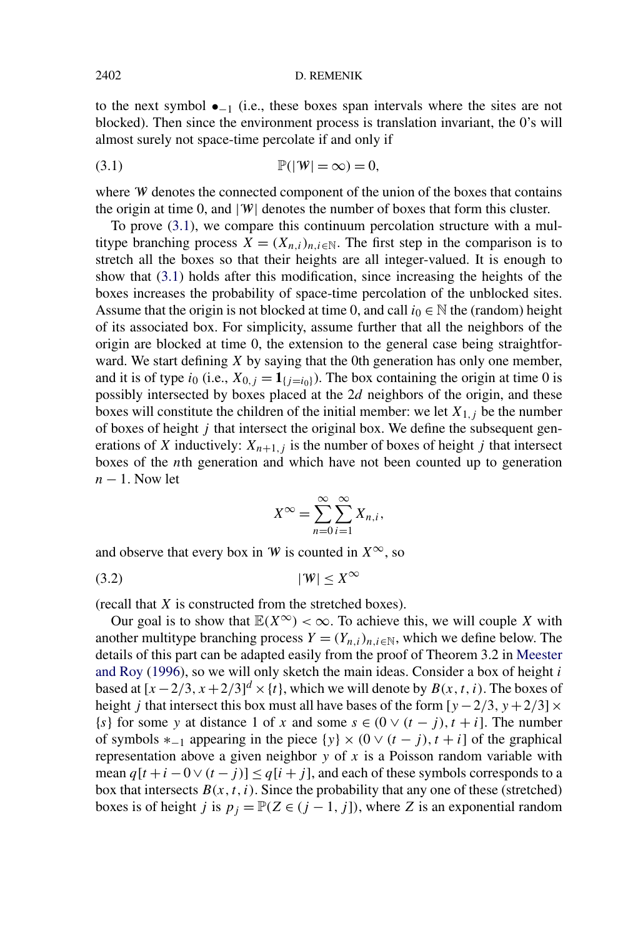#### <span id="page-10-0"></span>2402 D. REMENIK

to the next symbol  $\bullet_{-1}$  (i.e., these boxes span intervals where the sites are not blocked). Then since the environment process is translation invariant, the 0's will almost surely not space-time percolate if and only if

$$
P(|W| = \infty) = 0,
$$

where W denotes the connected component of the union of the boxes that contains the origin at time 0, and  $|\Psi|$  denotes the number of boxes that form this cluster.

To prove (3.1), we compare this continuum percolation structure with a multitype branching process  $X = (X_{n,i})_{n,i \in \mathbb{N}}$ . The first step in the comparison is to stretch all the boxes so that their heights are all integer-valued. It is enough to show that (3.1) holds after this modification, since increasing the heights of the boxes increases the probability of space-time percolation of the unblocked sites. Assume that the origin is not blocked at time 0, and call  $i_0 \in \mathbb{N}$  the (random) height of its associated box. For simplicity, assume further that all the neighbors of the origin are blocked at time 0, the extension to the general case being straightforward. We start defining *X* by saying that the 0th generation has only one member, and it is of type  $i_0$  (i.e.,  $X_{0,j} = 1_{\{i=i_0\}}$ ). The box containing the origin at time 0 is possibly intersected by boxes placed at the 2*d* neighbors of the origin, and these boxes will constitute the children of the initial member: we let  $X_{1,j}$  be the number of boxes of height *j* that intersect the original box. We define the subsequent generations of *X* inductively:  $X_{n+1,j}$  is the number of boxes of height *j* that intersect boxes of the *n*th generation and which have not been counted up to generation *n* − 1. Now let

$$
X^{\infty} = \sum_{n=0}^{\infty} \sum_{i=1}^{\infty} X_{n,i},
$$

and observe that every box in W is counted in  $X^{\infty}$ , so

$$
(3.2) \t\t |W| \le X^\infty
$$

(recall that *X* is constructed from the stretched boxes).

Our goal is to show that  $\mathbb{E}(X^{\infty}) < \infty$ . To achieve this, we will couple *X* with another multitype branching process  $Y = (Y_{n,i})_{n,i \in \mathbb{N}}$ , which we define below. The details of this part can be adapted easily from the proof of Theorem 3.2 in [Meester](#page-28-0) [and Roy](#page-28-0) [\(1996\)](#page-28-0), so we will only sketch the main ideas. Consider a box of height *i* based at  $[x - 2/3, x + 2/3]^d \times \{t\}$ , which we will denote by  $B(x, t, i)$ . The boxes of height *j* that intersect this box must all have bases of the form  $[y - 2/3, y + 2/3] \times$ {*s*} for some *y* at distance 1 of *x* and some  $s \in (0 \vee (t - j), t + i]$ . The number of symbols  $*_{-1}$  appearing in the piece  $\{y\} \times (0 \vee (t - j), t + i]$  of the graphical representation above a given neighbor *y* of *x* is a Poisson random variable with mean  $q[t + i - 0 \vee (t - j)] \leq q[i + j]$ , and each of these symbols corresponds to a box that intersects  $B(x, t, i)$ . Since the probability that any one of these (stretched) boxes is of height *j* is  $p_j = \mathbb{P}(Z \in (j-1, j])$ , where *Z* is an exponential random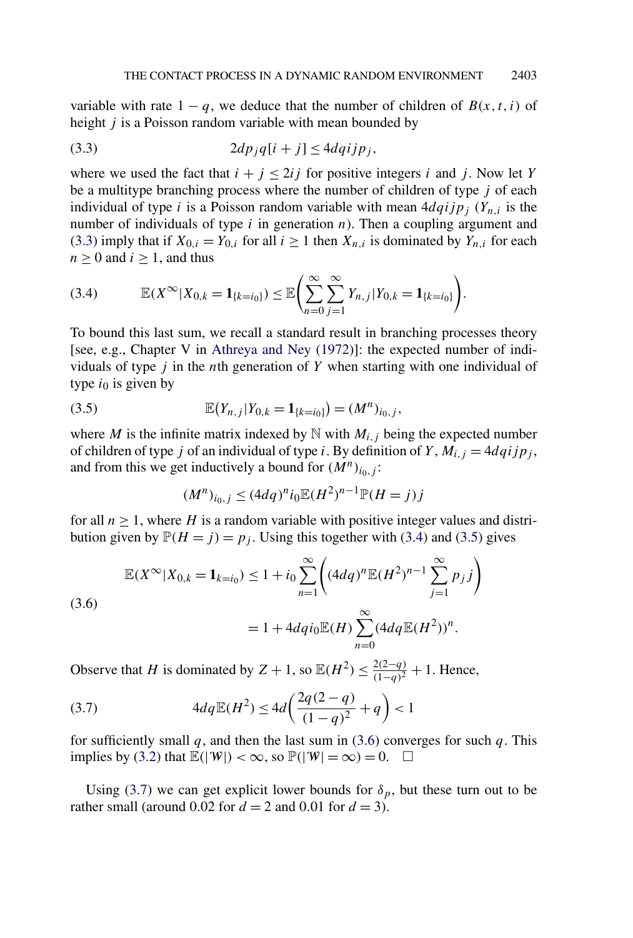variable with rate  $1 - q$ , we deduce that the number of children of  $B(x, t, i)$  of height *j* is a Poisson random variable with mean bounded by

$$
(3.3) \t2dp_jq[i+j] \leq 4dqijp_j,
$$

where we used the fact that  $i + j \leq 2i j$  for positive integers *i* and *j*. Now let *Y* be a multitype branching process where the number of children of type *j* of each individual of type *i* is a Poisson random variable with mean  $4dqijp_j$  ( $Y_{n,i}$  is the number of individuals of type *i* in generation *n*). Then a coupling argument and (3.3) imply that if  $X_{0,i} = Y_{0,i}$  for all  $i \ge 1$  then  $X_{n,i}$  is dominated by  $Y_{n,i}$  for each  $n \geq 0$  and  $i \geq 1$ , and thus

$$
(3.4) \qquad \mathbb{E}(X^{\infty}|X_{0,k}=\mathbf{1}_{\{k=i_0\}})\leq \mathbb{E}\Biggl(\sum_{n=0}^{\infty}\sum_{j=1}^{\infty}Y_{n,j}|Y_{0,k}=\mathbf{1}_{\{k=i_0\}}\Biggr).
$$

To bound this last sum, we recall a standard result in branching processes theory [see, e.g., Chapter V in [Athreya and Ney](#page-27-0) [\(1972\)](#page-27-0)]: the expected number of individuals of type *j* in the *n*th generation of *Y* when starting with one individual of type  $i_0$  is given by

(3.5) 
$$
\mathbb{E}(Y_{n,j}|Y_{0,k}=\mathbf{1}_{\{k=i_0\}})=(M^n)_{i_0,j},
$$

where *M* is the infinite matrix indexed by  $N$  with  $M_{i,j}$  being the expected number of children of type *j* of an individual of type *i*. By definition of *Y*,  $M_{i,j} = 4dqijp_j$ , and from this we get inductively a bound for  $(M^n)_{i_0,j}$ :

$$
(M^n)_{i_0,j} \le (4dq)^n i_0 \mathbb{E}(H^2)^{n-1} \mathbb{P}(H=j)j
$$

for all  $n \geq 1$ , where *H* is a random variable with positive integer values and distribution given by  $\mathbb{P}(H = j) = p_j$ . Using this together with (3.4) and (3.5) gives

$$
\mathbb{E}(X^{\infty}|X_{0,k} = \mathbf{1}_{k=i_0}) \le 1 + i_0 \sum_{n=1}^{\infty} \left( (4dq)^n \mathbb{E}(H^2)^{n-1} \sum_{j=1}^{\infty} p_j j \right)
$$
  
(3.6)  

$$
= 1 + 4dq i_0 \mathbb{E}(H) \sum_{n=0}^{\infty} (4dq \mathbb{E}(H^2))^n.
$$

Observe that *H* is dominated by  $Z + 1$ , so  $\mathbb{E}(H^2) \le \frac{2(2-q)}{(1-q)^2} + 1$ . Hence,

(3.7) 
$$
4dq\mathbb{E}(H^2) \le 4d\left(\frac{2q(2-q)}{(1-q)^2} + q\right) < 1
$$

for sufficiently small  $q$ , and then the last sum in (3.6) converges for such  $q$ . This implies by [\(3.2\)](#page-10-0) that  $\mathbb{E}(|W|) < \infty$ , so  $\mathbb{P}(|W| = \infty) = 0$ .  $\Box$ 

Using (3.7) we can get explicit lower bounds for  $\delta_p$ , but these turn out to be rather small (around 0.02 for  $d = 2$  and 0.01 for  $d = 3$ ).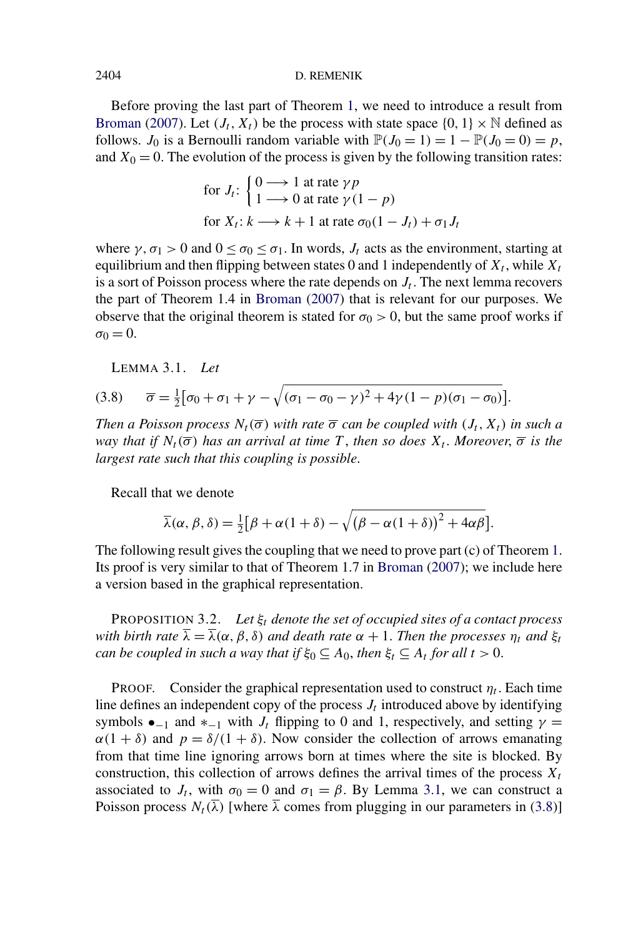#### <span id="page-12-0"></span>2404 D. REMENIK

Before proving the last part of Theorem [1,](#page-2-0) we need to introduce a result from [Broman](#page-28-0) [\(2007\)](#page-28-0). Let  $(J_t, X_t)$  be the process with state space  $\{0, 1\} \times \mathbb{N}$  defined as follows. *J*<sub>0</sub> is a Bernoulli random variable with  $\mathbb{P}(J_0 = 1) = 1 - \mathbb{P}(J_0 = 0) = p$ , and  $X_0 = 0$ . The evolution of the process is given by the following transition rates:

for 
$$
J_t
$$
: 
$$
\begin{cases} 0 \longrightarrow 1 \text{ at rate } \gamma p \\ 1 \longrightarrow 0 \text{ at rate } \gamma (1 - p) \end{cases}
$$
for  $X_t$ :  $k \longrightarrow k + 1$  at rate  $\sigma_0 (1 - J_t) + \sigma_1 J_t$ 

where  $\gamma$ ,  $\sigma_1 > 0$  and  $0 \le \sigma_0 \le \sigma_1$ . In words,  $J_t$  acts as the environment, starting at equilibrium and then flipping between states 0 and 1 independently of  $X_t$ , while  $X_t$ is a sort of Poisson process where the rate depends on  $J_t$ . The next lemma recovers the part of Theorem 1.4 in [Broman](#page-28-0) [\(2007\)](#page-28-0) that is relevant for our purposes. We observe that the original theorem is stated for  $\sigma_0 > 0$ , but the same proof works if  $\sigma_0 = 0$ .

LEMMA 3.1. *Let*

(3.8) 
$$
\overline{\sigma} = \frac{1}{2} [\sigma_0 + \sigma_1 + \gamma - \sqrt{(\sigma_1 - \sigma_0 - \gamma)^2 + 4\gamma (1 - p)(\sigma_1 - \sigma_0)}].
$$

*Then a Poisson process*  $N_t(\overline{\sigma})$  *with rate*  $\overline{\sigma}$  *can be coupled with*  $(J_t, X_t)$  *in such a way that if*  $N_t(\overline{\sigma})$  *has an arrival at time T*, *then so does*  $X_t$ . *Moreover*,  $\overline{\sigma}$  *is the largest rate such that this coupling is possible*.

Recall that we denote

$$
\overline{\lambda}(\alpha,\beta,\delta) = \frac{1}{2} [\beta + \alpha (1+\delta) - \sqrt{(\beta - \alpha (1+\delta))^2 + 4\alpha \beta}].
$$

The following result gives the coupling that we need to prove part (c) of Theorem [1.](#page-2-0) Its proof is very similar to that of Theorem 1.7 in [Broman](#page-28-0) [\(2007\)](#page-28-0); we include here a version based in the graphical representation.

PROPOSITION 3.2. *Let ξt denote the set of occupied sites of a contact process with birth rate*  $\overline{\lambda} = \overline{\lambda}(\alpha, \beta, \delta)$  *and death rate*  $\alpha + 1$ *. Then the processes*  $\eta_t$  *and*  $\xi_t$ *can be coupled in such a way that if*  $\xi_0 \subseteq A_0$ , *then*  $\xi_t \subseteq A_t$  *for all*  $t > 0$ .

PROOF. Consider the graphical representation used to construct  $\eta_t$ . Each time line defines an independent copy of the process  $J_t$  introduced above by identifying symbols  $\bullet_{-1}$  and  $*_{-1}$  with  $J_t$  flipping to 0 and 1, respectively, and setting  $\gamma =$  $\alpha(1 + \delta)$  and  $p = \delta/(1 + \delta)$ . Now consider the collection of arrows emanating from that time line ignoring arrows born at times where the site is blocked. By construction, this collection of arrows defines the arrival times of the process  $X_t$ associated to  $J_t$ , with  $\sigma_0 = 0$  and  $\sigma_1 = \beta$ . By Lemma 3.1, we can construct a Poisson process  $N_t(\overline{\lambda})$  [where  $\overline{\lambda}$  comes from plugging in our parameters in (3.8)]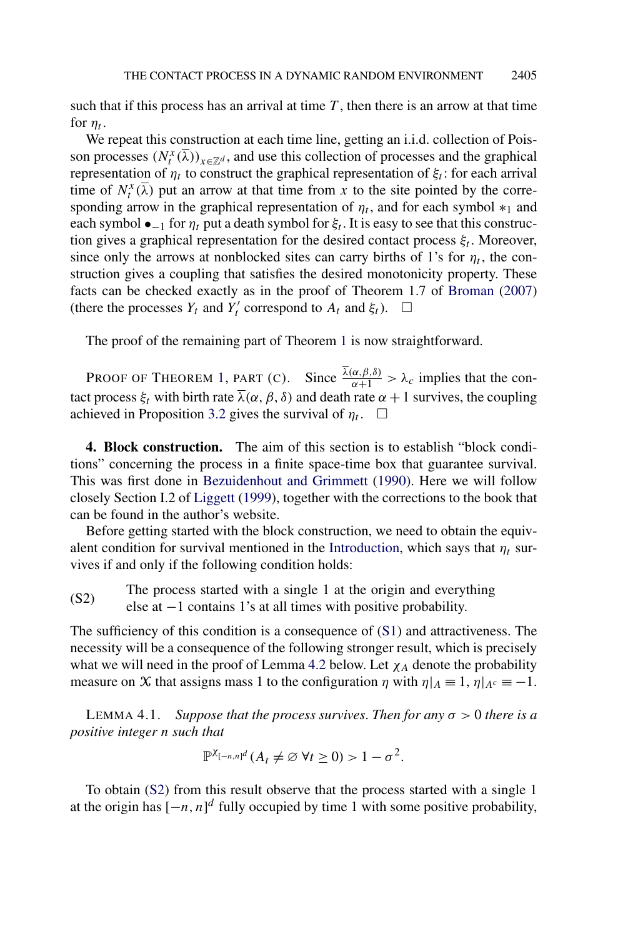<span id="page-13-0"></span>such that if this process has an arrival at time *T* , then there is an arrow at that time for  $n_t$ .

We repeat this construction at each time line, getting an i.i.d. collection of Poisson processes  $(N_t^x(\overline{\lambda}))_{x \in \mathbb{Z}^d}$ , and use this collection of processes and the graphical representation of  $\eta_t$  to construct the graphical representation of  $\xi_t$ : for each arrival time of  $N_t^x(\overline{\lambda})$  put an arrow at that time from x to the site pointed by the corresponding arrow in the graphical representation of  $\eta_t$ , and for each symbol  $*_1$  and each symbol  $\bullet_{-1}$  for  $\eta_t$  put a death symbol for  $\xi_t$ . It is easy to see that this construction gives a graphical representation for the desired contact process  $\xi_t$ . Moreover, since only the arrows at nonblocked sites can carry births of 1's for  $\eta_t$ , the construction gives a coupling that satisfies the desired monotonicity property. These facts can be checked exactly as in the proof of Theorem 1.7 of [Broman](#page-28-0) [\(2007\)](#page-28-0) (there the processes  $Y_t$  and  $Y'_t$  correspond to  $A_t$  and  $\xi_t$ ).  $\Box$ 

The proof of the remaining part of Theorem [1](#page-2-0) is now straightforward.

PROOF OF THEOREM [1,](#page-2-0) PART (C). Since  $\frac{\lambda(\alpha,\beta,\delta)}{\alpha+1} > \lambda_c$  implies that the contact process  $\xi_t$  with birth rate  $\overline{\lambda}(\alpha, \beta, \delta)$  and death rate  $\alpha + 1$  survives, the coupling achieved in Proposition [3.2](#page-12-0) gives the survival of  $\eta_t$ .  $\Box$ 

**4. Block construction.** The aim of this section is to establish "block conditions" concerning the process in a finite space-time box that guarantee survival. This was first done in [Bezuidenhout and Grimmett](#page-27-0) [\(1990\)](#page-27-0). Here we will follow closely Section I.2 of [Liggett](#page-28-0) [\(1999\)](#page-28-0), together with the corrections to the book that can be found in the author's website.

Before getting started with the block construction, we need to obtain the equiv-alent condition for survival mentioned in the [Introduction,](#page-0-0) which says that  $\eta_t$  survives if and only if the following condition holds:

The process started with a single 1 at the origin and everything (S2) Fine process statical with a single 1 at all times with positive probability.

The sufficiency of this condition is a consequence of [\(S1\)](#page-8-0) and attractiveness. The necessity will be a consequence of the following stronger result, which is precisely what we will need in the proof of Lemma [4.2](#page-17-0) below. Let  $\chi_A$  denote the probability measure on X that assigns mass 1 to the configuration  $\eta$  with  $\eta|_A \equiv 1$ ,  $\eta|_{A^c} \equiv -1$ .

**LEMMA 4.1.** *Suppose that the process survives. Then for any*  $\sigma > 0$  *there is a positive integer n such that*

$$
\mathbb{P}^{\chi_{[-n,n]^d}}(A_t \neq \varnothing \,\forall t \geq 0) > 1 - \sigma^2.
$$

To obtain (S2) from this result observe that the process started with a single 1 at the origin has  $[-n, n]^d$  fully occupied by time 1 with some positive probability,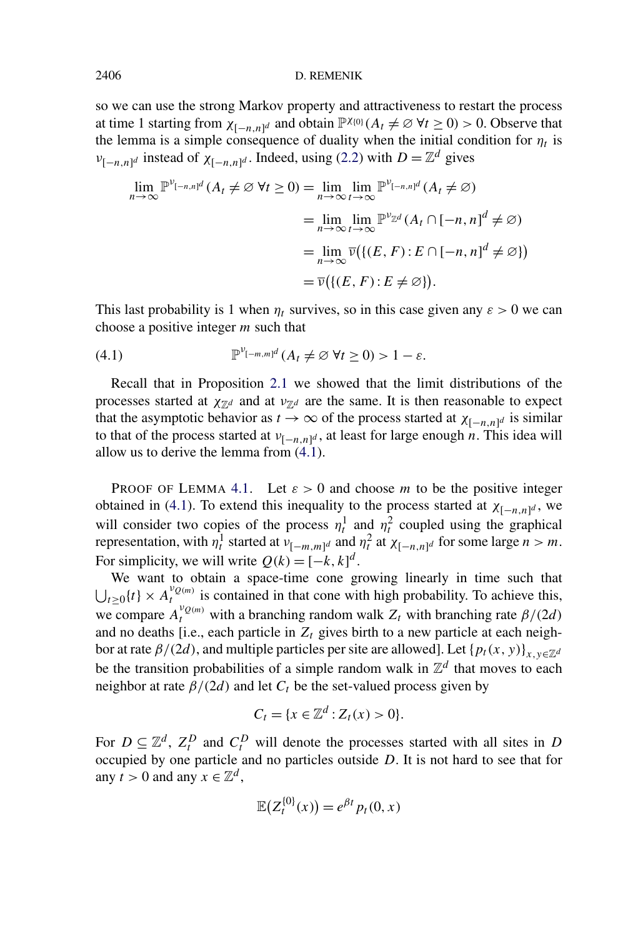#### <span id="page-14-0"></span>2406 D. REMENIK

so we can use the strong Markov property and attractiveness to restart the process at time 1 starting from  $\chi_{[-n,n]^d}$  and obtain  $\mathbb{P}^{\chi_{0}}(A_t \neq \emptyset \ \forall t \geq 0) > 0$ . Observe that the lemma is a simple consequence of duality when the initial condition for  $\eta_t$  is *v*<sub>[−*n,n*]<sup>*d*</sup> instead of  $\chi$ <sub>[−*n,n*]</sub>*d*. Indeed, using [\(2.2\)](#page-7-0) with  $D = \mathbb{Z}^d$  gives</sub>

$$
\lim_{n \to \infty} \mathbb{P}^{\nu_{[-n,n]^d}}(A_t \neq \varnothing \ \forall t \geq 0) = \lim_{n \to \infty} \lim_{t \to \infty} \mathbb{P}^{\nu_{[-n,n]^d}}(A_t \neq \varnothing)
$$
\n
$$
= \lim_{n \to \infty} \lim_{t \to \infty} \mathbb{P}^{\nu_{\mathbb{Z}^d}}(A_t \cap [-n, n]^d \neq \varnothing)
$$
\n
$$
= \lim_{n \to \infty} \overline{\nu}\big(\{(E, F) : E \cap [-n, n]^d \neq \varnothing\}\big)
$$
\n
$$
= \overline{\nu}\big(\{(E, F) : E \neq \varnothing\}\big).
$$

This last probability is 1 when  $\eta_t$  survives, so in this case given any  $\varepsilon > 0$  we can choose a positive integer *m* such that

(4.1) 
$$
\mathbb{P}^{\nu_{[-m,m]^d}}(A_t \neq \emptyset \ \forall t \geq 0) > 1 - \varepsilon.
$$

Recall that in Proposition [2.1](#page-6-0) we showed that the limit distributions of the processes started at  $\chi_{\mathbb{Z}^d}$  and at  $\nu_{\mathbb{Z}^d}$  are the same. It is then reasonable to expect that the asymptotic behavior as  $t \to \infty$  of the process started at  $\chi_{[-n,n]^d}$  is similar to that of the process started at  $v_{[-n,n]^d}$ , at least for large enough *n*. This idea will allow us to derive the lemma from (4.1).

PROOF OF LEMMA [4.1.](#page-13-0) Let  $\varepsilon > 0$  and choose *m* to be the positive integer obtained in (4.1). To extend this inequality to the process started at  $\chi_{[-n,n]^d}$ , we will consider two copies of the process  $\eta_t^1$  and  $\eta_t^2$  coupled using the graphical representation, with  $\eta_t^1$  started at  $v_{[-m,m]^d}$  and  $\eta_t^2$  at  $\chi_{[-n,n]^d}$  for some large  $n > m$ . For simplicity, we will write  $Q(k) = [-k, k]^d$ .

We want to obtain a space-time cone growing linearly in time such that  $\bigcup_{t\geq 0} \{t\} \times A_t^{\nu_{Q(m)}}$  is contained in that cone with high probability. To achieve this, we compare  $A_t^{v_{Q(m)}}$  with a branching random walk  $Z_t$  with branching rate  $\beta/(2d)$ and no deaths [i.e., each particle in  $Z_t$  gives birth to a new particle at each neighbor at rate  $\beta/(2d)$ , and multiple particles per site are allowed]. Let  $\{p_t(x, y)\}_{x,y\in\mathbb{Z}^d}$ be the transition probabilities of a simple random walk in  $\mathbb{Z}^d$  that moves to each neighbor at rate  $\beta/(2d)$  and let  $C_t$  be the set-valued process given by

$$
C_t = \{x \in \mathbb{Z}^d : Z_t(x) > 0\}.
$$

For  $D \subseteq \mathbb{Z}^d$ ,  $Z_t^D$  and  $C_t^D$  will denote the processes started with all sites in *D* occupied by one particle and no particles outside *D*. It is not hard to see that for any *t* > 0 and any  $x \in \mathbb{Z}^d$ ,

$$
\mathbb{E}\big(Z_t^{\{0\}}(x)\big) = e^{\beta t} p_t(0,x)
$$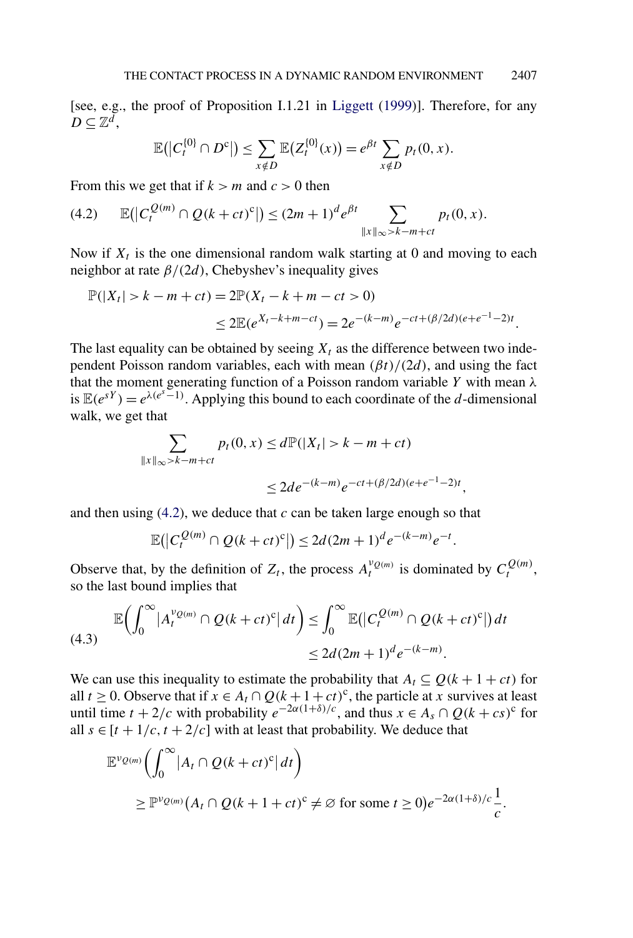<span id="page-15-0"></span>[see, e.g., the proof of Proposition I.1.21 in [Liggett](#page-28-0) [\(1999\)](#page-28-0)]. Therefore, for any  $D \subseteq \mathbb{Z}^{\bar{d}}$ ,

$$
\mathbb{E}(|C_t^{00} \cap D^c|) \leq \sum_{x \notin D} \mathbb{E}(Z_t^{00}(x)) = e^{\beta t} \sum_{x \notin D} p_t(0, x).
$$

From this we get that if  $k > m$  and  $c > 0$  then

$$
(4.2) \qquad \mathbb{E}(|C_t^{\mathcal{Q}(m)} \cap \mathcal{Q}(k+ct)^c|) \le (2m+1)^d e^{\beta t} \sum_{\|x\|_{\infty} > k-m+ct} p_t(0,x).
$$

Now if  $X_t$  is the one dimensional random walk starting at 0 and moving to each neighbor at rate *β/(*2*d)*, Chebyshev's inequality gives

$$
\mathbb{P}(|X_t| > k - m + ct) = 2\mathbb{P}(X_t - k + m - ct > 0)
$$
  
\n
$$
\leq 2\mathbb{E}(e^{X_t - k + m - ct}) = 2e^{-(k - m)}e^{-ct + (\beta/2d)(e + e^{-1} - 2)t}.
$$

The last equality can be obtained by seeing  $X_t$  as the difference between two independent Poisson random variables, each with mean *(βt)/(*2*d)*, and using the fact that the moment generating function of a Poisson random variable *Y* with mean *λ* is  $\mathbb{E}(e^{sY}) = e^{\lambda(e^{s}-1)}$ . Applying this bound to each coordinate of the *d*-dimensional walk, we get that

$$
\sum_{\|x\|_{\infty} > k-m+ct} p_t(0, x) \le d \mathbb{P}(|X_t| > k-m+ct)
$$
  

$$
\le 2de^{-(k-m)} e^{-ct + (\beta/2d)(e+e^{-1}-2)t},
$$

and then using  $(4.2)$ , we deduce that *c* can be taken large enough so that

$$
\mathbb{E}(|C_t^{Q(m)} \cap Q(k+ct)^{c}|) \le 2d(2m+1)^{d}e^{-(k-m)}e^{-t}.
$$

Observe that, by the definition of  $Z_t$ , the process  $A_t^{\nu_Q(m)}$  is dominated by  $C_t^{Q(m)}$ , so the last bound implies that

$$
\mathbb{E}\left(\int_0^\infty |A_t^{\nu_{Q(m)}} \cap Q(k+ct)^c| dt\right) \leq \int_0^\infty \mathbb{E}\left(|C_t^{Q(m)} \cap Q(k+ct)^c|\right) dt
$$
\n
$$
\leq 2d(2m+1)^d e^{-(k-m)}.
$$

We can use this inequality to estimate the probability that  $A_t \subseteq Q(k+1+ct)$  for all  $t \geq 0$ . Observe that if  $x \in A_t \cap Q(k+1+ct)^c$ , the particle at *x* survives at least until time  $t + 2/c$  with probability  $e^{-2\alpha(1+\delta)/c}$ , and thus  $x \in A_s \cap Q(k + cs)^c$  for all  $s \in [t + 1/c, t + 2/c]$  with at least that probability. We deduce that

$$
\mathbb{E}^{\nu_{Q(m)}}\left(\int_0^\infty |A_t \cap Q(k+ct)^c| dt\right)
$$
  
\n
$$
\geq \mathbb{P}^{\nu_{Q(m)}}\left(A_t \cap Q(k+1+ct)^c \neq \emptyset \text{ for some } t \geq 0\right) e^{-2\alpha(1+\delta)/c} \frac{1}{c}.
$$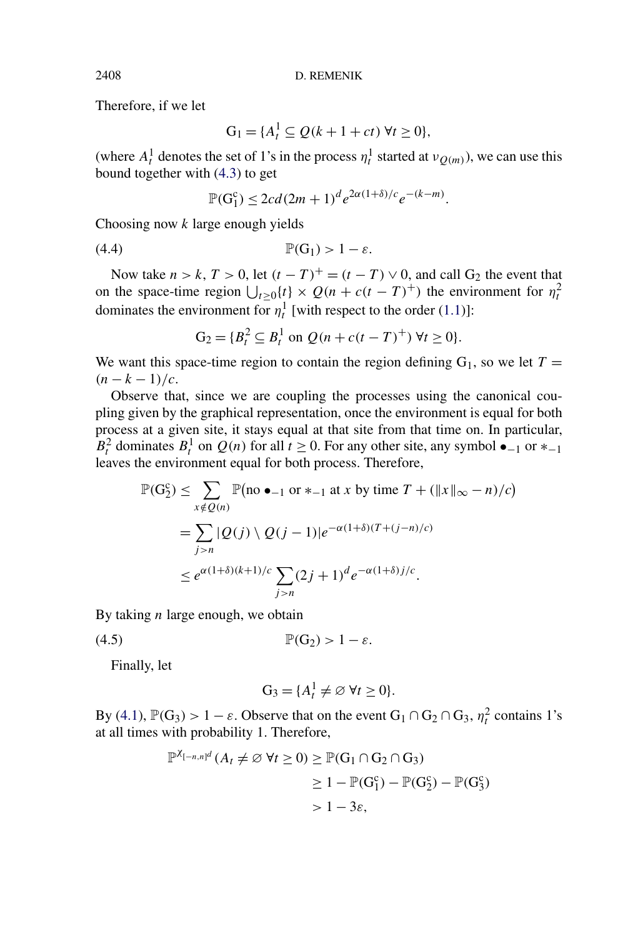Therefore, if we let

$$
G_1 = \{A_t^1 \subseteq Q(k+1+ct) \,\forall t \ge 0\},\
$$

(where  $A_t^1$  denotes the set of 1's in the process  $\eta_t^1$  started at  $v_{Q(m)}$ ), we can use this bound together with [\(4.3\)](#page-15-0) to get

$$
\mathbb{P}(G_1^c) \le 2cd(2m+1)^d e^{2\alpha(1+\delta)/c} e^{-(k-m)}.
$$

Choosing now *k* large enough yields

(4.4) P*(*G1*) >* 1 − *ε.*

Now take  $n > k$ ,  $T > 0$ , let  $(t - T)^{+} = (t - T) \vee 0$ , and call  $G_2$  the event that on the space-time region  $\bigcup_{t \geq 0} \{t\} \times Q(n + c(t - T)^+)$  the environment for  $\eta_t^2$ dominates the environment for  $\eta_t^1$  [with respect to the order [\(1.1\)](#page-1-0)]:

$$
G_2 = \{B_t^2 \subseteq B_t^1 \text{ on } Q(n + c(t - T)^+) \ \forall t \ge 0\}.
$$

We want this space-time region to contain the region defining  $G_1$ , so we let  $T =$  $(n - k - 1)/c$ .

Observe that, since we are coupling the processes using the canonical coupling given by the graphical representation, once the environment is equal for both process at a given site, it stays equal at that site from that time on. In particular,  $B_t^2$  dominates  $B_t^1$  on  $Q(n)$  for all  $t \ge 0$ . For any other site, any symbol  $\bullet_{-1}$  or  $*_{-1}$ leaves the environment equal for both process. Therefore,

$$
\mathbb{P}(G_2^c) \le \sum_{x \notin Q(n)} \mathbb{P}(\text{no } \bullet_{-1} \text{ or } *_{-1} \text{ at } x \text{ by time } T + (\|x\|_{\infty} - n)/c)
$$
  
= 
$$
\sum_{j > n} |Q(j) \setminus Q(j-1)|e^{-\alpha(1+\delta)(T+(j-n)/c)}
$$
  

$$
\le e^{\alpha(1+\delta)(k+1)/c} \sum_{j > n} (2j+1)^d e^{-\alpha(1+\delta)j/c}.
$$

By taking *n* large enough, we obtain

(4.5)  $\mathbb{P}(G_2) > 1 - \varepsilon$ .

Finally, let

$$
G_3 = \{A_t^1 \neq \varnothing \,\forall t \geq 0\}.
$$

By [\(4.1\)](#page-14-0),  $\mathbb{P}(G_3) > 1 - \varepsilon$ . Observe that on the event  $G_1 \cap G_2 \cap G_3$ ,  $\eta_t^2$  contains 1's at all times with probability 1. Therefore,

$$
\mathbb{P}^{\chi_{[-n,n]^d}}(A_t \neq \varnothing \ \forall t \geq 0) \geq \mathbb{P}(G_1 \cap G_2 \cap G_3)
$$
  
\n
$$
\geq 1 - \mathbb{P}(G_1^c) - \mathbb{P}(G_2^c) - \mathbb{P}(G_3^c)
$$
  
\n
$$
> 1 - 3\varepsilon,
$$

<span id="page-16-0"></span>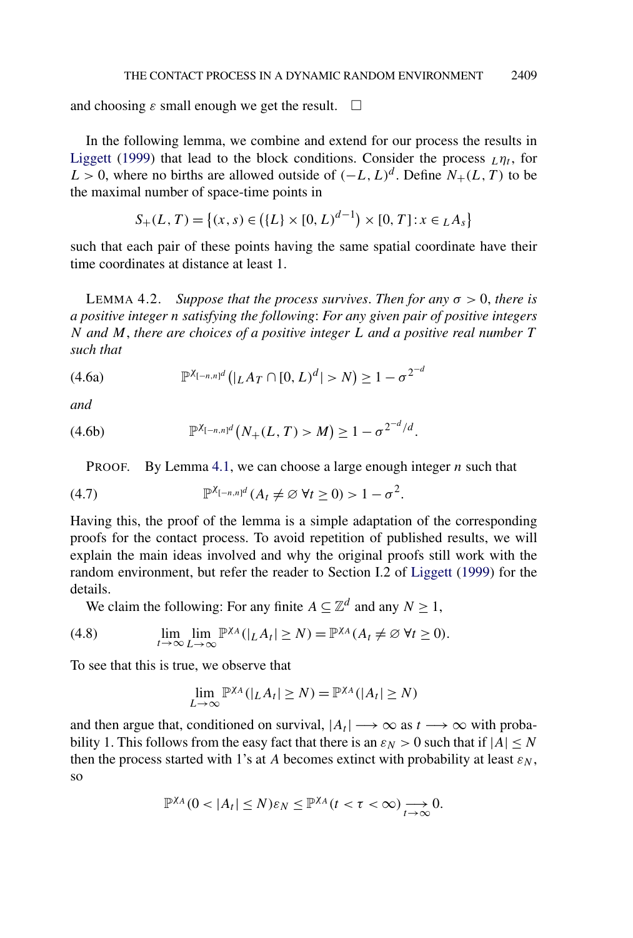<span id="page-17-0"></span>and choosing  $\varepsilon$  small enough we get the result.  $\Box$ 

In the following lemma, we combine and extend for our process the results in [Liggett](#page-28-0) [\(1999\)](#page-28-0) that lead to the block conditions. Consider the process  $L\eta_t$ , for *L* > 0, where no births are allowed outside of  $(-L, L)^d$ . Define *N*+*(L,T)* to be the maximal number of space-time points in

$$
S_{+}(L, T) = \{(x, s) \in (\{L\} \times [0, L)^{d-1}) \times [0, T] : x \in {}_{L}A_{s}\}
$$

such that each pair of these points having the same spatial coordinate have their time coordinates at distance at least 1.

**LEMMA 4.2.** *Suppose that the process survives. Then for any*  $\sigma > 0$ *, there is a positive integer n satisfying the following*: *For any given pair of positive integers N and M*, *there are choices of a positive integer L and a positive real number T such that*

(4.6a) 
$$
\mathbb{P}^{\chi_{[-n,n]^d}}(|L A_T \cap [0,L)^d| > N) \ge 1 - \sigma^{2^{-d}}
$$

*and*

(4.6b) 
$$
\mathbb{P}^{\chi_{[-n,n]^d}}(N_+(L,T) > M) \geq 1 - \sigma^{2^{-d}/d}.
$$

PROOF. By Lemma [4.1,](#page-13-0) we can choose a large enough integer *n* such that

$$
(4.7) \t\t\t\t\mathbb{P}^{\chi_{[-n,n]^d}}(A_t \neq \varnothing \ \forall t \geq 0) > 1 - \sigma^2.
$$

Having this, the proof of the lemma is a simple adaptation of the corresponding proofs for the contact process. To avoid repetition of published results, we will explain the main ideas involved and why the original proofs still work with the random environment, but refer the reader to Section I.2 of [Liggett](#page-28-0) [\(1999\)](#page-28-0) for the details.

We claim the following: For any finite  $A \subseteq \mathbb{Z}^d$  and any  $N \ge 1$ ,

(4.8) 
$$
\lim_{t \to \infty} \lim_{L \to \infty} \mathbb{P}^{\chi_A}(|L A_t| \geq N) = \mathbb{P}^{\chi_A}(A_t \neq \varnothing \ \forall t \geq 0).
$$

To see that this is true, we observe that

$$
\lim_{L\to\infty}\mathbb{P}^{\chi_A}(|_L A_t|\geq N)=\mathbb{P}^{\chi_A}(|A_t|\geq N)
$$

and then argue that, conditioned on survival,  $|A_t| \rightarrow \infty$  as  $t \rightarrow \infty$  with probability 1. This follows from the easy fact that there is an  $\varepsilon_N > 0$  such that if  $|A| \le N$ then the process started with 1's at *A* becomes extinct with probability at least  $\varepsilon_N$ , so

$$
\mathbb{P}^{\chi_A}(0<|A_t|\leq N)\varepsilon_N\leq \mathbb{P}^{\chi_A}(t<\tau<\infty)\underset{t\to\infty}{\longrightarrow}0.
$$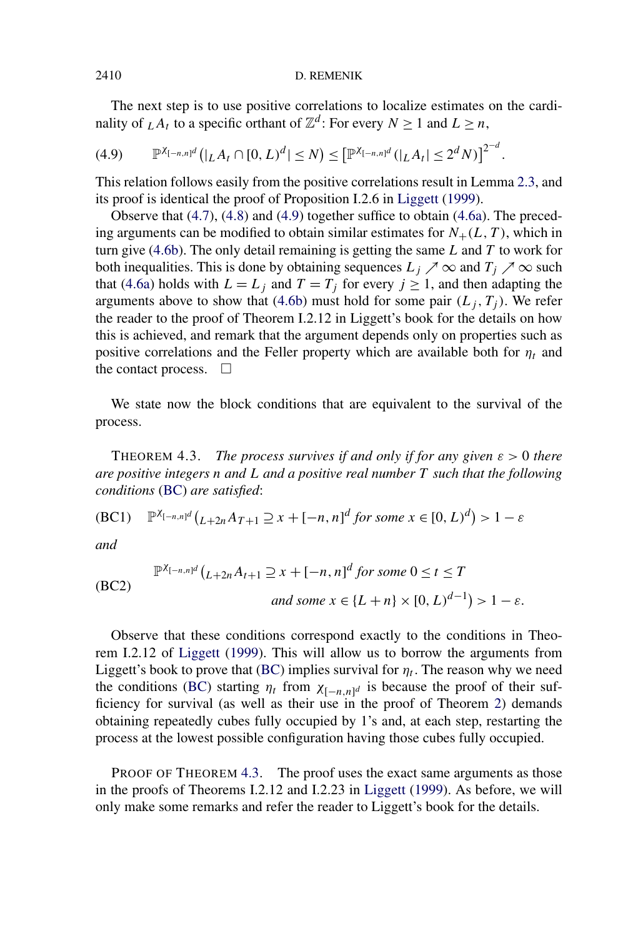<span id="page-18-0"></span>The next step is to use positive correlations to localize estimates on the cardinality of  $L A_t$  to a specific orthant of  $\mathbb{Z}^d$ : For every  $N \ge 1$  and  $L \ge n$ ,

$$
(4.9) \qquad \mathbb{P}^{\chi_{[-n,n]^d}}\big(|L A_t \cap [0,L)^d| \leq N\big) \leq \big[\mathbb{P}^{\chi_{[-n,n]^d}}(|L A_t| \leq 2^d N)\big]^{2^{-d}}.
$$

This relation follows easily from the positive correlations result in Lemma [2.3,](#page-8-0) and its proof is identical the proof of Proposition I.2.6 in [Liggett](#page-28-0) [\(1999\)](#page-28-0).

Observe that [\(4.7\)](#page-17-0), [\(4.8\)](#page-17-0) and (4.9) together suffice to obtain [\(4.6a\)](#page-17-0). The preceding arguments can be modified to obtain similar estimates for  $N_{+}(L, T)$ , which in turn give [\(4.6b\)](#page-17-0). The only detail remaining is getting the same *L* and *T* to work for both inequalities. This is done by obtaining sequences  $L_j \nearrow \infty$  and  $T_j \nearrow \infty$  such that [\(4.6a\)](#page-17-0) holds with  $L = L_j$  and  $T = T_j$  for every  $j \ge 1$ , and then adapting the arguments above to show that [\(4.6b\)](#page-17-0) must hold for some pair  $(L_j, T_j)$ . We refer the reader to the proof of Theorem I.2.12 in Liggett's book for the details on how this is achieved, and remark that the argument depends only on properties such as positive correlations and the Feller property which are available both for  $\eta_t$  and the contact process.  $\Box$ 

We state now the block conditions that are equivalent to the survival of the process.

**THEOREM 4.3.** *The process survives if and only if for any given*  $\varepsilon > 0$  *there are positive integers n and L and a positive real number T such that the following conditions* (BC) *are satisfied*:

(BC1) 
$$
\mathbb{P}^{\chi_{[-n,n]^d}}(L+2nA_{T+1}\supseteq x+[-n,n]^d
$$
 for some  $x\in[0,L)^d)>1-\varepsilon$ 

*and*

$$
\mathbb{P}^{\chi_{[-n,n]^d}}\left(\underline{L+2n}A_{t+1}\supseteq x+[-n,n]^d \text{ for some } 0\leq t\leq T\right)
$$
\n(BC2)

\nand some  $x \in \{L+n\} \times [0,L)^{d-1}\big) > 1-\varepsilon.$ 

Observe that these conditions correspond exactly to the conditions in Theorem I.2.12 of [Liggett](#page-28-0) [\(1999\)](#page-28-0). This will allow us to borrow the arguments from Liggett's book to prove that (BC) implies survival for  $\eta_t$ . The reason why we need the conditions (BC) starting  $\eta_t$  from  $\chi_{[-n,n]^d}$  is because the proof of their sufficiency for survival (as well as their use in the proof of Theorem [2\)](#page-4-0) demands obtaining repeatedly cubes fully occupied by 1's and, at each step, restarting the process at the lowest possible configuration having those cubes fully occupied.

PROOF OF THEOREM 4.3. The proof uses the exact same arguments as those in the proofs of Theorems I.2.12 and I.2.23 in [Liggett](#page-28-0) [\(1999\)](#page-28-0). As before, we will only make some remarks and refer the reader to Liggett's book for the details.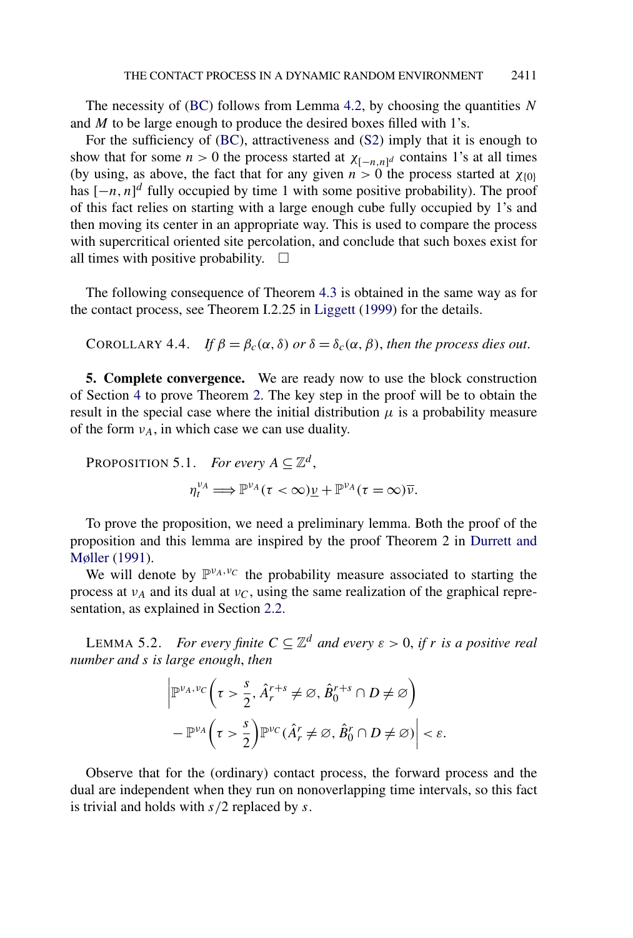<span id="page-19-0"></span>The necessity of [\(BC\)](#page-18-0) follows from Lemma [4.2,](#page-17-0) by choosing the quantities *N* and *M* to be large enough to produce the desired boxes filled with 1's.

For the sufficiency of [\(BC\)](#page-18-0), attractiveness and [\(S2\)](#page-13-0) imply that it is enough to show that for some  $n > 0$  the process started at  $\chi_{[-n,n]^d}$  contains 1's at all times (by using, as above, the fact that for any given  $n > 0$  the process started at  $\chi_{\{0\}}$ has  $[-n, n]^d$  fully occupied by time 1 with some positive probability). The proof of this fact relies on starting with a large enough cube fully occupied by 1's and then moving its center in an appropriate way. This is used to compare the process with supercritical oriented site percolation, and conclude that such boxes exist for all times with positive probability.  $\Box$ 

The following consequence of Theorem [4.3](#page-18-0) is obtained in the same way as for the contact process, see Theorem I.2.25 in [Liggett](#page-28-0) [\(1999\)](#page-28-0) for the details.

COROLLARY 4.4. If 
$$
\beta = \beta_c(\alpha, \delta)
$$
 or  $\delta = \delta_c(\alpha, \beta)$ , then the process dies out.

**5. Complete convergence.** We are ready now to use the block construction of Section [4](#page-13-0) to prove Theorem [2.](#page-4-0) The key step in the proof will be to obtain the result in the special case where the initial distribution  $\mu$  is a probability measure of the form  $v_A$ , in which case we can use duality.

PROPOSITION 5.1. For every 
$$
A \subseteq \mathbb{Z}^d
$$
,  
\n
$$
\eta_t^{\nu_A} \Longrightarrow \mathbb{P}^{\nu_A}(\tau < \infty) \underline{\nu} + \mathbb{P}^{\nu_A}(\tau = \infty) \overline{\nu}.
$$

To prove the proposition, we need a preliminary lemma. Both the proof of the proposition and this lemma are inspired by the proof Theorem 2 in [Durrett and](#page-28-0) [Møller](#page-28-0) [\(1991\)](#page-28-0).

We will denote by  $\mathbb{P}^{\nu_A,\nu_C}$  the probability measure associated to starting the process at  $v_A$  and its dual at  $v_C$ , using the same realization of the graphical representation, as explained in Section [2.2.](#page-6-0)

LEMMA 5.2. *For every finite*  $C \subseteq \mathbb{Z}^d$  *and every*  $\varepsilon > 0$ , *if r is a positive real number and s is large enough*, *then*

$$
\left| \mathbb{P}^{\nu_A, \nu_C} \left( \tau > \frac{s}{2}, \hat{A}_r^{r+s} \neq \varnothing, \hat{B}_0^{r+s} \cap D \neq \varnothing \right) \right|
$$
  
- 
$$
\mathbb{P}^{\nu_A} \left( \tau > \frac{s}{2} \right) \mathbb{P}^{\nu_C} (\hat{A}_r^r \neq \varnothing, \hat{B}_0^r \cap D \neq \varnothing) \right| < \varepsilon.
$$

Observe that for the (ordinary) contact process, the forward process and the dual are independent when they run on nonoverlapping time intervals, so this fact is trivial and holds with *s/*2 replaced by *s*.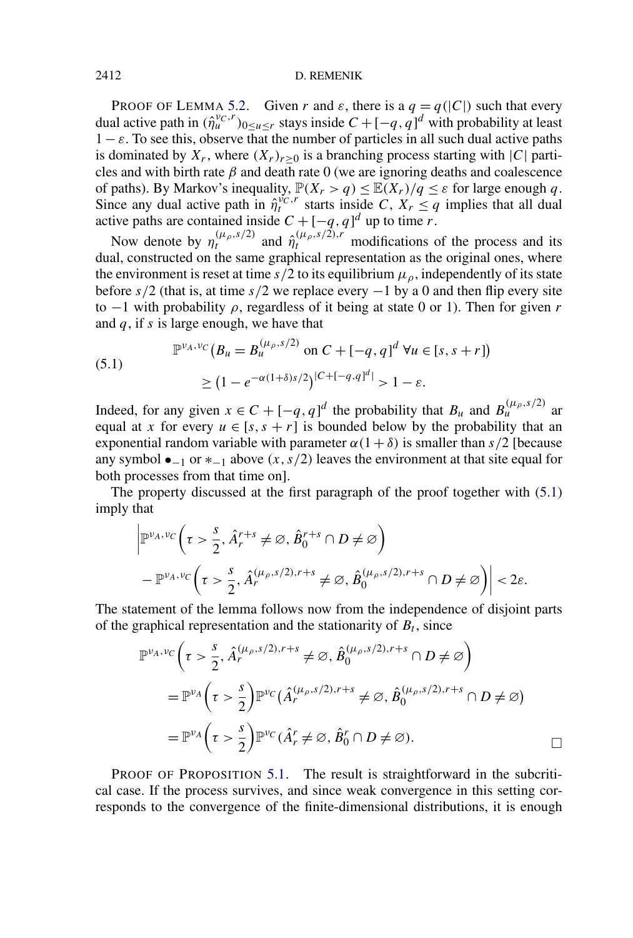#### 2412 D. REMENIK

PROOF OF LEMMA [5.2.](#page-19-0) Given *r* and  $\varepsilon$ , there is a  $q = q(|C|)$  such that every dual active path in  $(\hat{\eta}_u^{v_C, r})_{0 \le u \le r}$  stays inside  $C + [-q, q]^d$  with probability at least  $1 - \varepsilon$ . To see this, observe that the number of particles in all such dual active paths is dominated by  $X_r$ , where  $(X_r)_{r>0}$  is a branching process starting with  $|C|$  particles and with birth rate *β* and death rate 0 (we are ignoring deaths and coalescence of paths). By Markov's inequality,  $\mathbb{P}(X_r > q) \leq \mathbb{E}(X_r)/q \leq \varepsilon$  for large enough q. Since any dual active path in  $\hat{\eta}^{v_{C},r}_{t}$  starts inside *C*,  $X_{r} \leq q$  implies that all dual active paths are contained inside  $C + [-q, q]^d$  up to time *r*.

Now denote by  $\eta_t^{(\mu_\rho,s/2)}$  and  $\hat{\eta}_t^{(\mu_\rho,s/2),r}$  modifications of the process and its dual, constructed on the same graphical representation as the original ones, where the environment is reset at time  $s/2$  to its equilibrium  $\mu_{\rho}$ , independently of its state before *s/*2 (that is, at time *s/*2 we replace every −1 by a 0 and then flip every site to  $-1$  with probability  $\rho$ , regardless of it being at state 0 or 1). Then for given *r* and *q*, if *s* is large enough, we have that

(5.1) 
$$
\mathbb{P}^{\nu_A, \nu_C}(B_u = B_u^{(\mu_\rho, s/2)} \text{ on } C + [-q, q]^d \ \forall u \in [s, s+r])
$$

$$
\geq (1 - e^{-\alpha(1+\delta)s/2})^{|C + [-q, q]^d|} > 1 - \varepsilon.
$$

Indeed, for any given  $x \in C + [-q, q]^d$  the probability that  $B_u$  and  $B_u^{(\mu_\rho, s/2)}$  are equal at *x* for every  $u \in [s, s + r]$  is bounded below by the probability that an exponential random variable with parameter  $\alpha(1 + \delta)$  is smaller than *s*/2 [because any symbol  $\bullet_{-1}$  or  $*_{-1}$  above  $(x, s/2)$  leaves the environment at that site equal for both processes from that time on].

The property discussed at the first paragraph of the proof together with (5.1) imply that

$$
\left| \mathbb{P}^{\nu_A, \nu_C} \left( \tau > \frac{s}{2}, \hat{A}_r^{r+s} \neq \varnothing, \hat{B}_0^{r+s} \cap D \neq \varnothing \right) \right|
$$
  
- 
$$
\mathbb{P}^{\nu_A, \nu_C} \left( \tau > \frac{s}{2}, \hat{A}_r^{(\mu_\rho, s/2), r+s} \neq \varnothing, \hat{B}_0^{(\mu_\rho, s/2), r+s} \cap D \neq \varnothing \right) \right| < 2\varepsilon.
$$

The statement of the lemma follows now from the independence of disjoint parts of the graphical representation and the stationarity of  $B_t$ , since

$$
\mathbb{P}^{\nu_A, \nu_C} \left( \tau > \frac{s}{2}, \hat{A}_r^{(\mu_\rho, s/2), r+s} \neq \varnothing, \hat{B}_0^{(\mu_\rho, s/2), r+s} \cap D \neq \varnothing \right)
$$
  
= 
$$
\mathbb{P}^{\nu_A} \left( \tau > \frac{s}{2} \right) \mathbb{P}^{\nu_C} (\hat{A}_r^{(\mu_\rho, s/2), r+s} \neq \varnothing, \hat{B}_0^{(\mu_\rho, s/2), r+s} \cap D \neq \varnothing)
$$
  
= 
$$
\mathbb{P}^{\nu_A} \left( \tau > \frac{s}{2} \right) \mathbb{P}^{\nu_C} (\hat{A}_r^r \neq \varnothing, \hat{B}_0^r \cap D \neq \varnothing).
$$

PROOF OF PROPOSITION [5.1.](#page-19-0) The result is straightforward in the subcritical case. If the process survives, and since weak convergence in this setting corresponds to the convergence of the finite-dimensional distributions, it is enough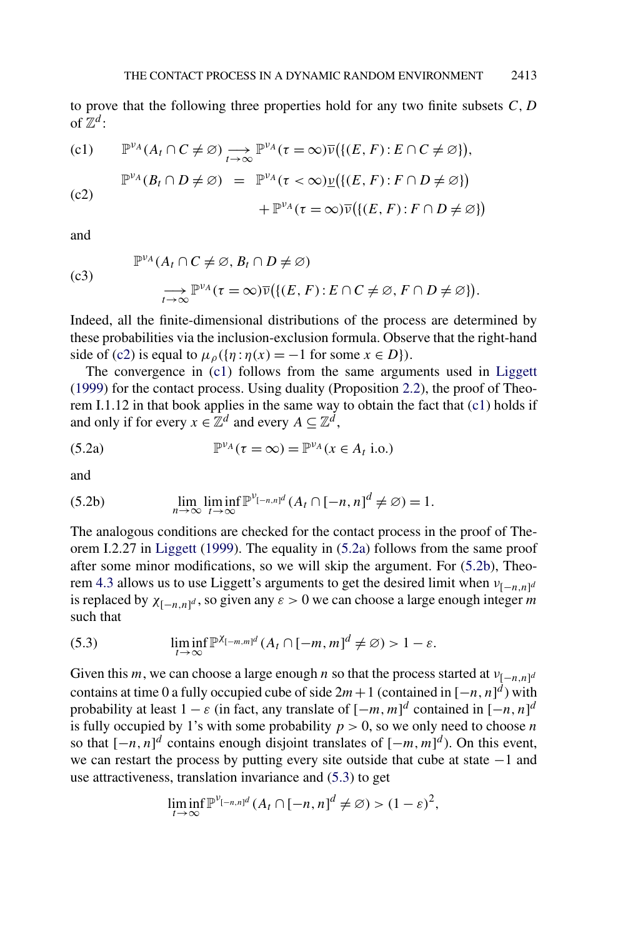<span id="page-21-0"></span>to prove that the following three properties hold for any two finite subsets *C,D* of  $\mathbb{Z}^d$ :

(c1) 
$$
\mathbb{P}^{\nu_A}(A_t \cap C \neq \emptyset) \longrightarrow_{t \to \infty} \mathbb{P}^{\nu_A}(\tau = \infty) \overline{\nu}(\{(E, F) : E \cap C \neq \emptyset)\},
$$

$$
\mathbb{P}^{\nu_A}(B_t \cap D \neq \emptyset) = \mathbb{P}^{\nu_A}(\tau < \infty) \underline{\nu}(\{(E, F) : F \cap D \neq \emptyset)\}
$$

$$
+\mathbb{P}^{\nu_A}(\tau=\infty)\overline{\nu}(\{(E,F):F\cap D\neq\varnothing\})
$$

and

(c3)  
\n
$$
\mathbb{P}^{\nu_A}(A_t \cap C \neq \emptyset, B_t \cap D \neq \emptyset)
$$
\n
$$
\longrightarrow \limits_{t \to \infty} \mathbb{P}^{\nu_A}(\tau = \infty) \overline{\nu}(\{(E, F) : E \cap C \neq \emptyset, F \cap D \neq \emptyset\}).
$$

Indeed, all the finite-dimensional distributions of the process are determined by these probabilities via the inclusion-exclusion formula. Observe that the right-hand side of (c2) is equal to  $\mu_{\rho}(\{\eta : \eta(x) = -1 \text{ for some } x \in D\})$ .

The convergence in (c1) follows from the same arguments used in [Liggett](#page-28-0) [\(1999\)](#page-28-0) for the contact process. Using duality (Proposition [2.2\)](#page-7-0), the proof of Theorem I.1.12 in that book applies in the same way to obtain the fact that (c1) holds if and only if for every  $x \in \mathbb{Z}^d$  and every  $A \subseteq \mathbb{Z}^d$ ,

(5.2a) 
$$
\mathbb{P}^{\nu_A}(\tau = \infty) = \mathbb{P}^{\nu_A}(x \in A_t \text{ i.o.})
$$

and

(5.2b) 
$$
\lim_{n \to \infty} \liminf_{t \to \infty} \mathbb{P}^{\nu_{[-n,n]^d}}(A_t \cap [-n,n]^d \neq \emptyset) = 1.
$$

The analogous conditions are checked for the contact process in the proof of Theorem I.2.27 in [Liggett](#page-28-0) [\(1999\)](#page-28-0). The equality in (5.2a) follows from the same proof after some minor modifications, so we will skip the argument. For (5.2b), Theo-rem [4.3](#page-18-0) allows us to use Liggett's arguments to get the desired limit when  $v_{[-n,n]d}$ is replaced by  $\chi_{[-n,n]^d}$ , so given any  $\varepsilon > 0$  we can choose a large enough integer *m* such that

(5.3) 
$$
\liminf_{t\to\infty} \mathbb{P}^{\chi_{[-m,m]^d}}(A_t \cap [-m,m]^d \neq \varnothing) > 1-\varepsilon.
$$

Given this *m*, we can choose a large enough *n* so that the process started at  $v_{[-n,n]^d}$ contains at time 0 a fully occupied cube of side  $2m+1$  (contained in  $[-n, n]^d$ ) with probability at least  $1 - \varepsilon$  (in fact, any translate of  $[-m, m]^d$  contained in  $[-n, n]^d$ is fully occupied by 1's with some probability  $p > 0$ , so we only need to choose *n* so that  $[-n, n]^d$  contains enough disjoint translates of  $[-m, m]^d$ ). On this event, we can restart the process by putting every site outside that cube at state −1 and use attractiveness, translation invariance and (5.3) to get

$$
\liminf_{t\to\infty} \mathbb{P}^{\nu_{[-n,n]^d}}(A_t\cap[-n,n]^d\neq\varnothing)>(1-\varepsilon)^2,
$$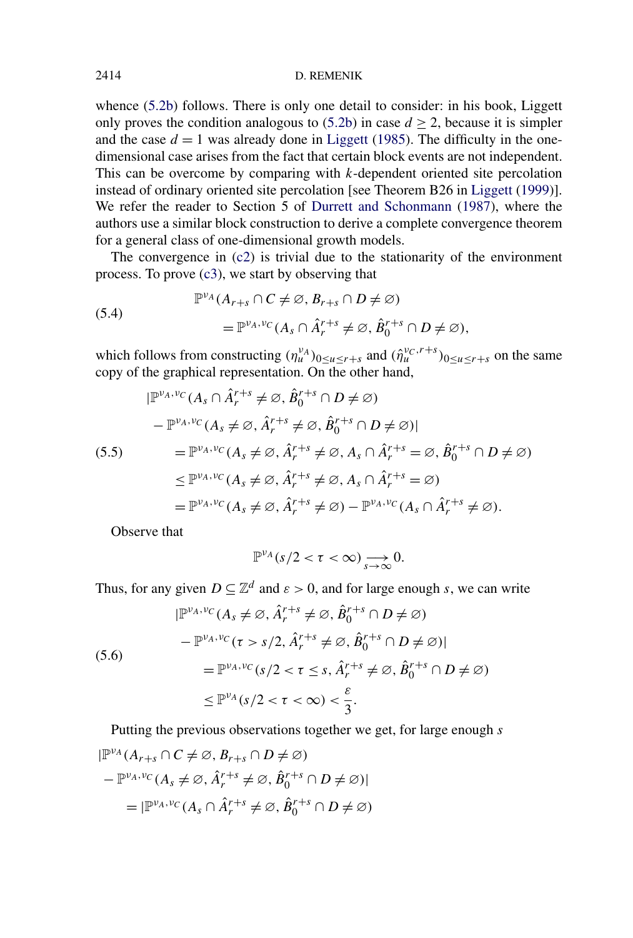#### <span id="page-22-0"></span>2414 D. REMENIK

whence [\(5.2b\)](#page-21-0) follows. There is only one detail to consider: in his book, Liggett only proves the condition analogous to  $(5.2b)$  in case  $d \ge 2$ , because it is simpler and the case  $d = 1$  was already done in [Liggett](#page-28-0) [\(1985\)](#page-28-0). The difficulty in the onedimensional case arises from the fact that certain block events are not independent. This can be overcome by comparing with *k*-dependent oriented site percolation instead of ordinary oriented site percolation [see Theorem B26 in [Liggett](#page-28-0) [\(1999\)](#page-28-0)]. We refer the reader to Section 5 of [Durrett and Schonmann](#page-28-0) [\(1987\)](#page-28-0), where the authors use a similar block construction to derive a complete convergence theorem for a general class of one-dimensional growth models.

The convergence in  $(c2)$  is trivial due to the stationarity of the environment process. To prove  $(c3)$ , we start by observing that

(5.4)  
\n
$$
\mathbb{P}^{\nu_A}(A_{r+s} \cap C \neq \varnothing, B_{r+s} \cap D \neq \varnothing)
$$
\n
$$
= \mathbb{P}^{\nu_A, \nu_C}(A_s \cap \hat{A}_r^{r+s} \neq \varnothing, \hat{B}_0^{r+s} \cap D \neq \varnothing),
$$

which follows from constructing  $(\eta_u^{\nu_A})_{0 \le u \le r+s}$  and  $(\hat{\eta}_u^{\nu_C, r+s})_{0 \le u \le r+s}$  on the same copy of the graphical representation. On the other hand,

$$
|\mathbb{P}^{\nu_A, \nu_C}(A_s \cap \hat{A}_r^{r+s} \neq \varnothing, \hat{B}_0^{r+s} \cap D \neq \varnothing)
$$
  
\n
$$
- \mathbb{P}^{\nu_A, \nu_C}(A_s \neq \varnothing, \hat{A}_r^{r+s} \neq \varnothing, \hat{B}_0^{r+s} \cap D \neq \varnothing)|
$$
  
\n(5.5) 
$$
= \mathbb{P}^{\nu_A, \nu_C}(A_s \neq \varnothing, \hat{A}_r^{r+s} \neq \varnothing, A_s \cap \hat{A}_r^{r+s} = \varnothing, \hat{B}_0^{r+s} \cap D \neq \varnothing)
$$
  
\n
$$
\leq \mathbb{P}^{\nu_A, \nu_C}(A_s \neq \varnothing, \hat{A}_r^{r+s} \neq \varnothing, A_s \cap \hat{A}_r^{r+s} = \varnothing)
$$
  
\n
$$
= \mathbb{P}^{\nu_A, \nu_C}(A_s \neq \varnothing, \hat{A}_r^{r+s} \neq \varnothing) - \mathbb{P}^{\nu_A, \nu_C}(A_s \cap \hat{A}_r^{r+s} \neq \varnothing).
$$

Observe that

$$
\mathbb{P}^{\nu_A}(s/2 < \tau < \infty) \underset{s \to \infty}{\longrightarrow} 0.
$$

Thus, for any given  $D \subseteq \mathbb{Z}^d$  and  $\varepsilon > 0$ , and for large enough *s*, we can write

(5.6)  
\n
$$
|\mathbb{P}^{\nu_A, \nu_C}(A_s \neq \varnothing, \hat{A}_r^{r+s} \neq \varnothing, \hat{B}_0^{r+s} \cap D \neq \varnothing)
$$
\n
$$
- \mathbb{P}^{\nu_A, \nu_C}(\tau > s/2, \hat{A}_r^{r+s} \neq \varnothing, \hat{B}_0^{r+s} \cap D \neq \varnothing)|
$$
\n
$$
= \mathbb{P}^{\nu_A, \nu_C}(s/2 < \tau \leq s, \hat{A}_r^{r+s} \neq \varnothing, \hat{B}_0^{r+s} \cap D \neq \varnothing)
$$
\n
$$
\leq \mathbb{P}^{\nu_A}(s/2 < \tau < \infty) < \frac{\varepsilon}{3}.
$$

Putting the previous observations together we get, for large enough *s*

$$
|\mathbb{P}^{\nu_A}(A_{r+s} \cap C \neq \varnothing, B_{r+s} \cap D \neq \varnothing)
$$
  

$$
- \mathbb{P}^{\nu_A, \nu_C}(A_s \neq \varnothing, \hat{A}_r^{r+s} \neq \varnothing, \hat{B}_0^{r+s} \cap D \neq \varnothing)|
$$
  

$$
= |\mathbb{P}^{\nu_A, \nu_C}(A_s \cap \hat{A}_r^{r+s} \neq \varnothing, \hat{B}_0^{r+s} \cap D \neq \varnothing)
$$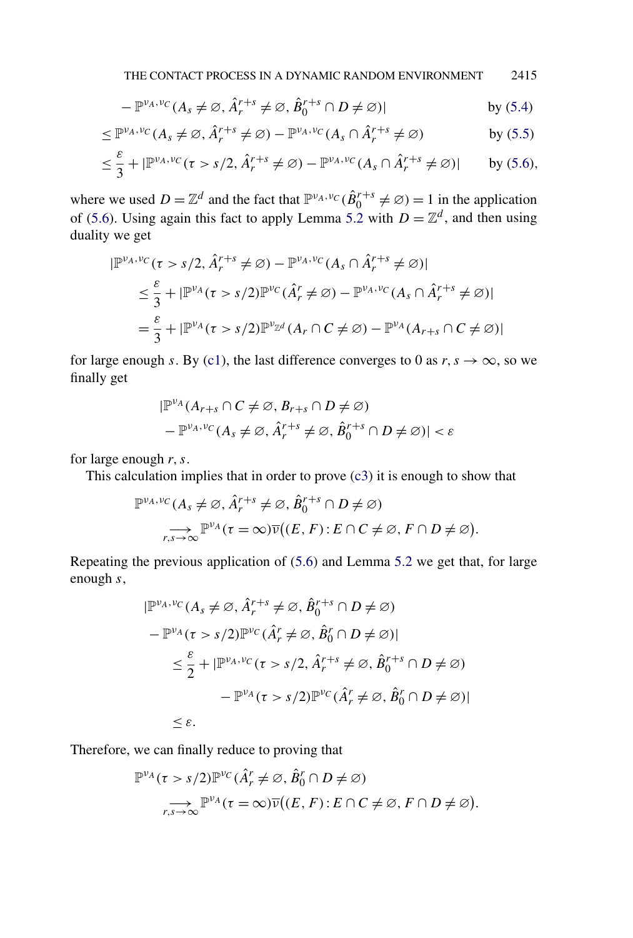$$
-\mathbb{P}^{\nu_A,\nu_C}(A_s \neq \varnothing, \hat{A}^{r+s}_r \neq \varnothing, \hat{B}^{r+s}_0 \cap D \neq \varnothing)| \qquad \qquad \text{by (5.4)}
$$

$$
\leq \mathbb{P}^{\nu_A, \nu_C}(A_s \neq \varnothing, \hat{A}_r^{r+s} \neq \varnothing) - \mathbb{P}^{\nu_A, \nu_C}(A_s \cap \hat{A}_r^{r+s} \neq \varnothing) \qquad \qquad \text{by (5.5)}
$$

$$
\leq \frac{\varepsilon}{3} + |\mathbb{P}^{\nu_A, \nu_C}(\tau > s/2, \hat{A}_r^{r+s} \neq \varnothing) - \mathbb{P}^{\nu_A, \nu_C}(A_s \cap \hat{A}_r^{r+s} \neq \varnothing)| \qquad \text{by (5.6)},
$$

where we used  $D = \mathbb{Z}^d$  and the fact that  $\mathbb{P}^{\nu_A, \nu_C}(\hat{B}^{r+s}_0 \neq \emptyset) = 1$  in the application of [\(5.6\)](#page-22-0). Using again this fact to apply Lemma [5.2](#page-19-0) with  $D = \mathbb{Z}^d$ , and then using duality we get

$$
|\mathbb{P}^{\nu_A, \nu_C}(\tau > s/2, \hat{A}_r^{r+s} \neq \varnothing) - \mathbb{P}^{\nu_A, \nu_C}(A_s \cap \hat{A}_r^{r+s} \neq \varnothing)|
$$
  
\n
$$
\leq \frac{\varepsilon}{3} + |\mathbb{P}^{\nu_A}(\tau > s/2)\mathbb{P}^{\nu_C}(\hat{A}_r^r \neq \varnothing) - \mathbb{P}^{\nu_A, \nu_C}(A_s \cap \hat{A}_r^{r+s} \neq \varnothing)|
$$
  
\n
$$
= \frac{\varepsilon}{3} + |\mathbb{P}^{\nu_A}(\tau > s/2)\mathbb{P}^{\nu_{\mathbb{Z}^d}}(A_r \cap C \neq \varnothing) - \mathbb{P}^{\nu_A}(A_{r+s} \cap C \neq \varnothing)|
$$

for large enough *s*. By [\(c1\)](#page-21-0), the last difference converges to 0 as  $r, s \rightarrow \infty$ , so we finally get

$$
|\mathbb{P}^{\nu_A}(A_{r+s} \cap C \neq \emptyset, B_{r+s} \cap D \neq \emptyset) - \mathbb{P}^{\nu_A, \nu_C}(A_s \neq \emptyset, \hat{A}_r^{r+s} \neq \emptyset, \hat{B}_0^{r+s} \cap D \neq \emptyset)| < \varepsilon
$$

for large enough *r,s*.

This calculation implies that in order to prove [\(c3\)](#page-21-0) it is enough to show that

$$
\mathbb{P}^{\nu_A, \nu_C}(A_s \neq \varnothing, \hat{A}_r^{r+s} \neq \varnothing, \hat{B}_0^{r+s} \cap D \neq \varnothing)
$$
  

$$
\sum_{r,s \to \infty} \mathbb{P}^{\nu_A}(\tau = \infty) \overline{\nu}((E, F) : E \cap C \neq \varnothing, F \cap D \neq \varnothing).
$$

Repeating the previous application of [\(5.6\)](#page-22-0) and Lemma [5.2](#page-19-0) we get that, for large enough *s*,

$$
|\mathbb{P}^{\nu_A, \nu_C}(A_s \neq \varnothing, \hat{A}_r^{r+s} \neq \varnothing, \hat{B}_0^{r+s} \cap D \neq \varnothing)
$$
  

$$
- \mathbb{P}^{\nu_A}(\tau > s/2) \mathbb{P}^{\nu_C}(\hat{A}_r^r \neq \varnothing, \hat{B}_0^r \cap D \neq \varnothing)|
$$
  

$$
\leq \frac{\varepsilon}{2} + |\mathbb{P}^{\nu_A, \nu_C}(\tau > s/2, \hat{A}_r^{r+s} \neq \varnothing, \hat{B}_0^{r+s} \cap D \neq \varnothing)|
$$
  

$$
- \mathbb{P}^{\nu_A}(\tau > s/2) \mathbb{P}^{\nu_C}(\hat{A}_r^r \neq \varnothing, \hat{B}_0^r \cap D \neq \varnothing)|
$$
  

$$
\leq \varepsilon.
$$

Therefore, we can finally reduce to proving that

$$
\mathbb{P}^{\nu_A}(\tau > s/2) \mathbb{P}^{\nu_C}(\hat{A}_r^r \neq \varnothing, \hat{B}_0^r \cap D \neq \varnothing)
$$
  

$$
\sum_{r,s \to \infty} \mathbb{P}^{\nu_A}(\tau = \infty) \overline{\nu}((E, F) : E \cap C \neq \varnothing, F \cap D \neq \varnothing).
$$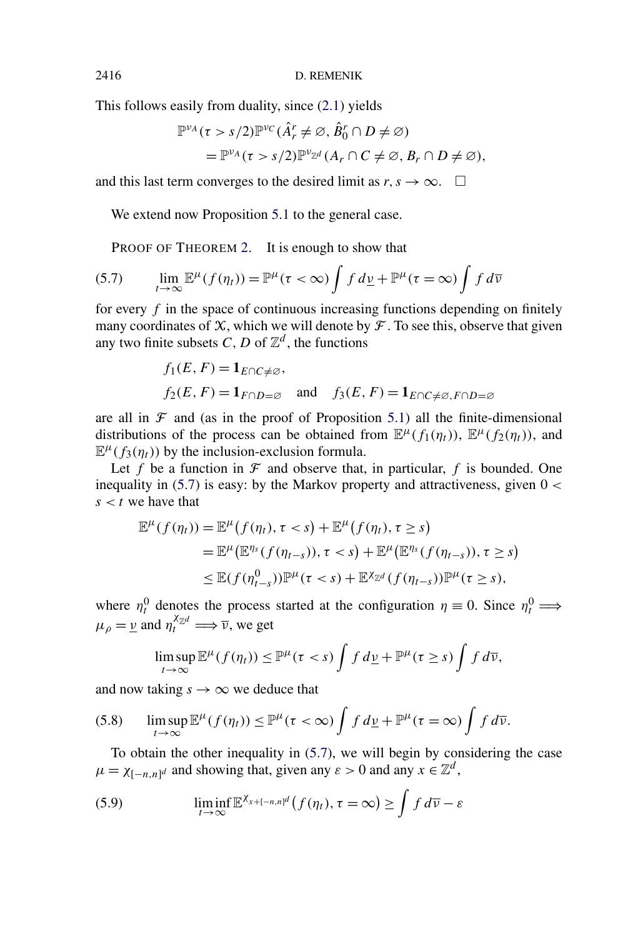This follows easily from duality, since [\(2.1\)](#page-7-0) yields

$$
\mathbb{P}^{\nu_A}(\tau > s/2) \mathbb{P}^{\nu_C}(\hat{A}_r^r \neq \varnothing, \hat{B}_0^r \cap D \neq \varnothing)
$$
  
= 
$$
\mathbb{P}^{\nu_A}(\tau > s/2) \mathbb{P}^{\nu_{\mathbb{Z}^d}}(A_r \cap C \neq \varnothing, B_r \cap D \neq \varnothing),
$$

and this last term converges to the desired limit as  $r, s \rightarrow \infty$ .  $\Box$ 

We extend now Proposition [5.1](#page-19-0) to the general case.

PROOF OF THEOREM [2.](#page-4-0) It is enough to show that

(5.7) 
$$
\lim_{t \to \infty} \mathbb{E}^{\mu}(f(\eta_{t})) = \mathbb{P}^{\mu}(\tau < \infty) \int f d\underline{\nu} + \mathbb{P}^{\mu}(\tau = \infty) \int f d\overline{\nu}
$$

for every  $f$  in the space of continuous increasing functions depending on finitely many coordinates of  $X$ , which we will denote by  $\mathcal F$ . To see this, observe that given any two finite subsets *C*, *D* of  $\mathbb{Z}^d$ , the functions

$$
f_1(E, F) = \mathbf{1}_{E \cap C \neq \emptyset}
$$
,  
\n $f_2(E, F) = \mathbf{1}_{F \cap D = \emptyset}$  and  $f_3(E, F) = \mathbf{1}_{E \cap C \neq \emptyset, F \cap D = \emptyset}$ 

are all in  $\mathcal F$  and (as in the proof of Proposition [5.1\)](#page-19-0) all the finite-dimensional distributions of the process can be obtained from  $\mathbb{E}^{\mu}(f_1(\eta_t))$ ,  $\mathbb{E}^{\mu}(f_2(\eta_t))$ , and  $\mathbb{E}^{\mu}(f_3(\eta_t))$  by the inclusion-exclusion formula.

Let  $f$  be a function in  $\mathcal F$  and observe that, in particular,  $f$  is bounded. One inequality in (5.7) is easy: by the Markov property and attractiveness, given 0 *<*  $s < t$  we have that

$$
\mathbb{E}^{\mu}(f(\eta_{t})) = \mathbb{E}^{\mu}(f(\eta_{t}), \tau < s) + \mathbb{E}^{\mu}(f(\eta_{t}), \tau \ge s)
$$
  
\n
$$
= \mathbb{E}^{\mu}(\mathbb{E}^{\eta_{s}}(f(\eta_{t-s})), \tau < s) + \mathbb{E}^{\mu}(\mathbb{E}^{\eta_{s}}(f(\eta_{t-s})), \tau \ge s)
$$
  
\n
$$
\leq \mathbb{E}(f(\eta_{t-s}^{0}))\mathbb{P}^{\mu}(\tau < s) + \mathbb{E}^{\chi_{\mathbb{Z}^{d}}(f(\eta_{t-s}))\mathbb{P}^{\mu}(\tau \ge s),
$$

where  $\eta_t^0$  denotes the process started at the configuration  $\eta \equiv 0$ . Since  $\eta_t^0 \Longrightarrow$  $\mu_{\rho} = \underline{v}$  and  $\eta_t^{\chi_{\mathbb{Z}^d}} \Longrightarrow \overline{v}$ , we get

$$
\limsup_{t\to\infty} \mathbb{E}^{\mu}(f(\eta_t)) \leq \mathbb{P}^{\mu}(\tau < s) \int f d\underline{\nu} + \mathbb{P}^{\mu}(\tau \geq s) \int f d\overline{\nu},
$$

and now taking  $s \to \infty$  we deduce that

(5.8) 
$$
\limsup_{t\to\infty} \mathbb{E}^{\mu}(f(\eta_t)) \leq \mathbb{P}^{\mu}(\tau < \infty) \int f d\underline{\nu} + \mathbb{P}^{\mu}(\tau = \infty) \int f d\overline{\nu}.
$$

To obtain the other inequality in (5.7), we will begin by considering the case  $\mu = \chi_{[-n,n]^d}$  and showing that, given any  $\varepsilon > 0$  and any  $x \in \mathbb{Z}^d$ ,

(5.9) 
$$
\liminf_{t\to\infty} \mathbb{E}^{\chi_{x+[-n,n]^d}}(f(\eta_t), \tau = \infty) \geq \int f d\overline{\nu} - \varepsilon
$$

<span id="page-24-0"></span>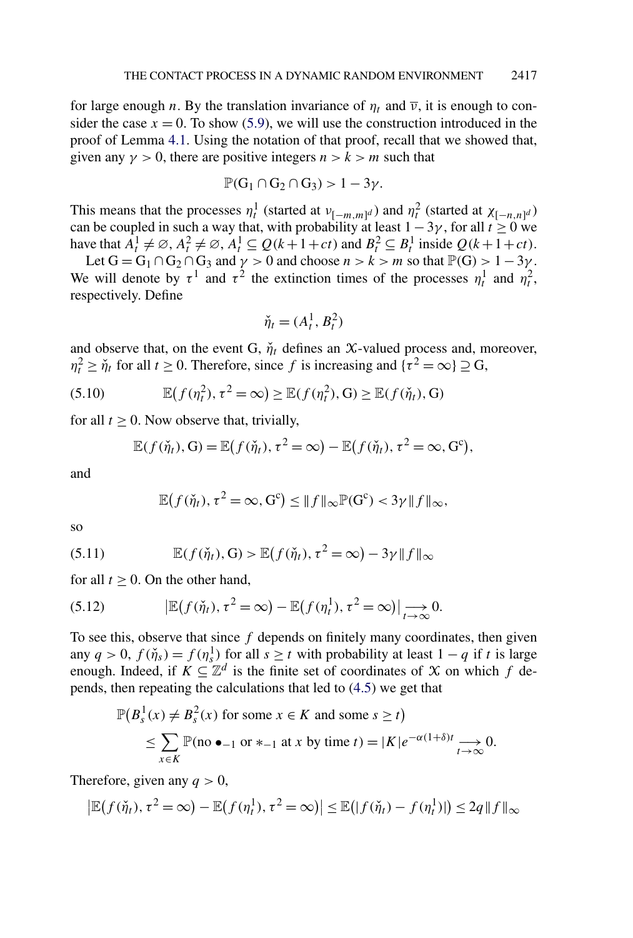<span id="page-25-0"></span>for large enough *n*. By the translation invariance of  $\eta_t$  and  $\overline{v}$ , it is enough to consider the case  $x = 0$ . To show [\(5.9\)](#page-24-0), we will use the construction introduced in the proof of Lemma [4.1.](#page-13-0) Using the notation of that proof, recall that we showed that, given any  $\gamma > 0$ , there are positive integers  $n > k > m$  such that

$$
\mathbb{P}(G_1 \cap G_2 \cap G_3) > 1 - 3\gamma.
$$

This means that the processes  $\eta_t^1$  (started at  $v_{[-m,m]^d}$ ) and  $\eta_t^2$  (started at  $\chi_{[-n,n]^d}$ ) can be coupled in such a way that, with probability at least  $1-3\gamma$ , for all  $t \ge 0$  we have that  $A_t^1 \neq \emptyset$ ,  $A_t^2 \neq \emptyset$ ,  $A_t^1 \subseteq Q(k+1+ct)$  and  $B_t^2 \subseteq B_t^1$  inside  $Q(k+1+ct)$ .

Let  $G = G_1 \cap G_2 \cap G_3$  and  $\gamma > 0$  and choose  $n > k > m$  so that  $\mathbb{P}(G) > 1 - 3\gamma$ . We will denote by  $\tau^1$  and  $\tau^2$  the extinction times of the processes  $\eta_t^1$  and  $\eta_t^2$ , respectively. Define

$$
\check{\eta}_t = (A_t^1, B_t^2)
$$

and observe that, on the event G,  $\check{\eta}_t$  defines an X-valued process and, moreover,  $\eta_t^2 \geq \check{\eta}_t$  for all  $t \geq 0$ . Therefore, since f is increasing and  $\{\tau^2 = \infty\} \supseteq G$ ,

(5.10) 
$$
\mathbb{E}(f(\eta_t^2), \tau^2 = \infty) \geq \mathbb{E}(f(\eta_t^2), G) \geq \mathbb{E}(f(\check{\eta}_t), G)
$$

for all  $t \geq 0$ . Now observe that, trivially,

$$
\mathbb{E}(f(\check{\eta}_t),\mathbf{G}) = \mathbb{E}(f(\check{\eta}_t),\tau^2 = \infty) - \mathbb{E}(f(\check{\eta}_t),\tau^2 = \infty,\mathbf{G}^c),
$$

and

$$
\mathbb{E}(f(\check{\eta}_t), \tau^2 = \infty, G^c) \leq \|f\|_{\infty} \mathbb{P}(G^c) < 3\gamma \|f\|_{\infty},
$$

so

(5.11) 
$$
\mathbb{E}(f(\check{\eta}_t), \mathbf{G}) > \mathbb{E}(f(\check{\eta}_t), \tau^2 = \infty) - 3\gamma \|f\|_{\infty}
$$

for all  $t > 0$ . On the other hand,

(5.12) 
$$
|\mathbb{E}(f(\check{\eta}_t), \tau^2 = \infty) - \mathbb{E}(f(\eta_t^1), \tau^2 = \infty)| \mathop{\longrightarrow}\limits_{t \to \infty} 0.
$$

To see this, observe that since *f* depends on finitely many coordinates, then given any  $q > 0$ ,  $f(\check{\eta}_s) = f(\eta_s^1)$  for all  $s \ge t$  with probability at least  $1 - q$  if *t* is large enough. Indeed, if  $K \subseteq \mathbb{Z}^d$  is the finite set of coordinates of X on which f depends, then repeating the calculations that led to [\(4.5\)](#page-16-0) we get that

$$
\mathbb{P}(B_s^1(x) \neq B_s^2(x) \text{ for some } x \in K \text{ and some } s \geq t)
$$
  
\n
$$
\leq \sum_{x \in K} \mathbb{P}(\text{no } \bullet_{-1} \text{ or } *_{-1} \text{ at } x \text{ by time } t) = |K|e^{-\alpha(1+\delta)t} \xrightarrow[t \to \infty]{} 0.
$$

Therefore, given any  $q > 0$ ,

$$
\left|\mathbb{E}\left(f(\check{\eta}_t),\tau^2=\infty\right)-\mathbb{E}\left(f(\eta_t^1),\tau^2=\infty\right)\right|\leq \mathbb{E}\left(|f(\check{\eta}_t)-f(\eta_t^1)|\right)\leq 2q\|f\|_{\infty}
$$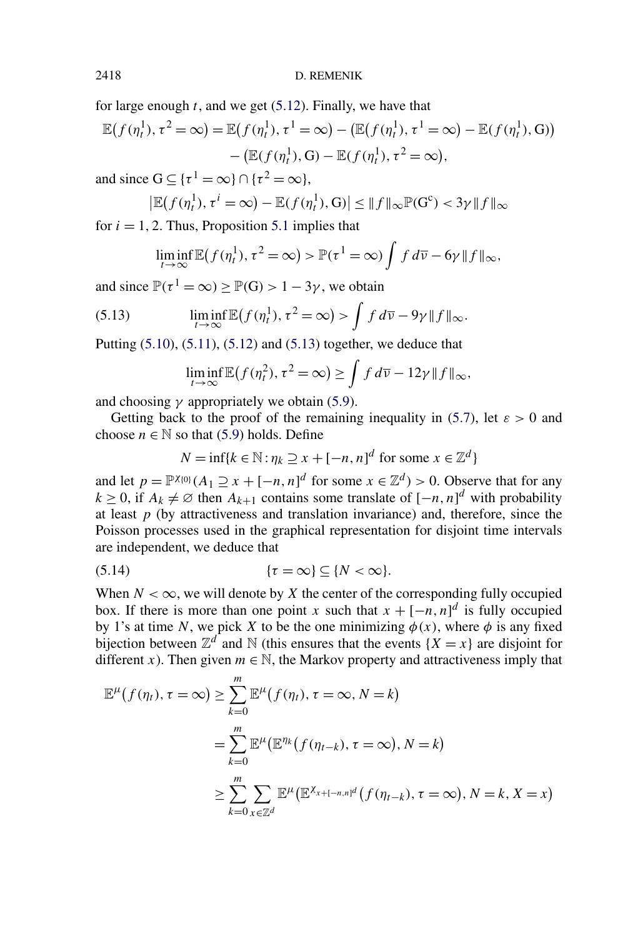<span id="page-26-0"></span>for large enough *t*, and we get [\(5.12\)](#page-25-0). Finally, we have that

$$
\mathbb{E}(f(\eta_t^1), \tau^2 = \infty) = \mathbb{E}(f(\eta_t^1), \tau^1 = \infty) - (\mathbb{E}(f(\eta_t^1), \tau^1 = \infty) - \mathbb{E}(f(\eta_t^1), G))
$$

$$
- (\mathbb{E}(f(\eta_t^1), G) - \mathbb{E}(f(\eta_t^1), \tau^2 = \infty),
$$

and since  $G \subseteq {\tau^1 = \infty} \cap {\tau^2 = \infty}$ ,

$$
\left|\mathbb{E}\big(f(\eta_t^1),\tau^i=\infty\big)-\mathbb{E}\big(f(\eta_t^1),\mathbf{G}\big)\right|\leq \|f\|_{\infty}\mathbb{P}(\mathbf{G}^c)<3\gamma\|f\|_{\infty}
$$

for  $i = 1, 2$ . Thus, Proposition [5.1](#page-19-0) implies that

$$
\liminf_{t \to \infty} \mathbb{E}(f(\eta_t^1), \tau^2 = \infty) > \mathbb{P}(\tau^1 = \infty) \int f d\overline{\nu} - 6\gamma \|f\|_{\infty},
$$

and since  $\mathbb{P}(\tau^1 = \infty) > \mathbb{P}(G) > 1 - 3\gamma$ , we obtain

(5.13) 
$$
\liminf_{t\to\infty} \mathbb{E}\big(f(\eta_t^1),\tau^2=\infty\big) > \int f d\overline{\nu} - 9\gamma \|f\|_{\infty}.
$$

Putting  $(5.10)$ ,  $(5.11)$ ,  $(5.12)$  and  $(5.13)$  together, we deduce that

$$
\liminf_{t \to \infty} \mathbb{E}(f(\eta_t^2), \tau^2 = \infty) \ge \int f d\overline{\nu} - 12\gamma \|f\|_{\infty},
$$

and choosing  $\gamma$  appropriately we obtain [\(5.9\)](#page-24-0).

Getting back to the proof of the remaining inequality in [\(5.7\)](#page-24-0), let  $\varepsilon > 0$  and choose  $n \in \mathbb{N}$  so that [\(5.9\)](#page-24-0) holds. Define

$$
N = \inf\{k \in \mathbb{N} : \eta_k \supseteq x + [-n, n]^d \text{ for some } x \in \mathbb{Z}^d\}
$$

and let  $p = \mathbb{P}^{\chi_{0}}(A_1 \supseteq x + [-n, n]^d$  for some  $x \in \mathbb{Z}^d) > 0$ . Observe that for any *k* ≥ 0, if  $A_k \neq \emptyset$  then  $A_{k+1}$  contains some translate of  $[-n, n]^d$  with probability at least  $p$  (by attractiveness and translation invariance) and, therefore, since the Poisson processes used in the graphical representation for disjoint time intervals are independent, we deduce that

$$
(5.14) \qquad \qquad \{\tau = \infty\} \subseteq \{N < \infty\}.
$$

When  $N < \infty$ , we will denote by X the center of the corresponding fully occupied box. If there is more than one point *x* such that  $x + [-n, n]^d$  is fully occupied by 1's at time *N*, we pick *X* to be the one minimizing  $\phi(x)$ , where  $\phi$  is any fixed bijection between  $\mathbb{Z}^d$  and N (this ensures that the events  $\{X = x\}$ ) are disjoint for different *x*). Then given  $m \in \mathbb{N}$ , the Markov property and attractiveness imply that

$$
\mathbb{E}^{\mu}(f(\eta_{t}), \tau = \infty) \ge \sum_{k=0}^{m} \mathbb{E}^{\mu}(f(\eta_{t}), \tau = \infty, N = k)
$$
  
= 
$$
\sum_{k=0}^{m} \mathbb{E}^{\mu}(\mathbb{E}^{\eta_{k}}(f(\eta_{t-k}), \tau = \infty), N = k)
$$
  

$$
\ge \sum_{k=0}^{m} \sum_{x \in \mathbb{Z}^{d}} \mathbb{E}^{\mu}(\mathbb{E}^{\chi_{x+[-n,n]^{d}}}(f(\eta_{t-k}), \tau = \infty), N = k, X = x)
$$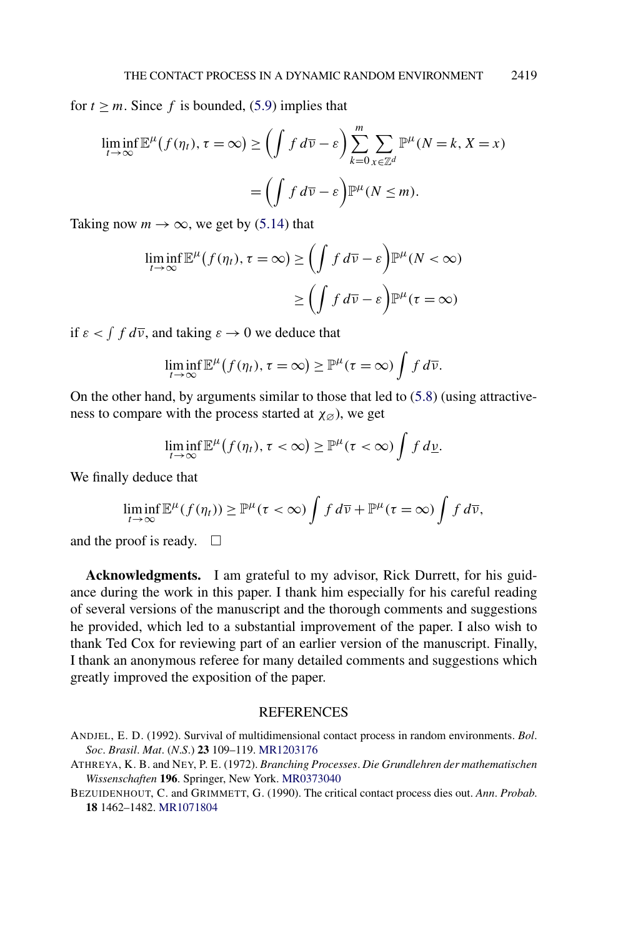<span id="page-27-0"></span>for  $t \geq m$ . Since f is bounded, [\(5.9\)](#page-24-0) implies that

$$
\liminf_{t \to \infty} \mathbb{E}^{\mu}(f(\eta_t), \tau = \infty) \ge \left(\int f d\overline{\nu} - \varepsilon\right) \sum_{k=0}^{m} \sum_{x \in \mathbb{Z}^d} \mathbb{P}^{\mu}(N = k, X = x) \n= \left(\int f d\overline{\nu} - \varepsilon\right) \mathbb{P}^{\mu}(N \le m).
$$

Taking now  $m \to \infty$ , we get by [\(5.14\)](#page-26-0) that

$$
\liminf_{t \to \infty} \mathbb{E}^{\mu} (f(\eta_t), \tau = \infty) \ge \left( \int f d\overline{\nu} - \varepsilon \right) \mathbb{P}^{\mu} (N < \infty)
$$

$$
\ge \left( \int f d\overline{\nu} - \varepsilon \right) \mathbb{P}^{\mu} (\tau = \infty)
$$

if  $\varepsilon < \int f d\overline{\nu}$ , and taking  $\varepsilon \to 0$  we deduce that

$$
\liminf_{t\to\infty} \mathbb{E}^{\mu}(f(\eta_t), \tau = \infty) \geq \mathbb{P}^{\mu}(\tau = \infty) \int f d\overline{\nu}.
$$

On the other hand, by arguments similar to those that led to  $(5.8)$  (using attractiveness to compare with the process started at  $\chi_{\emptyset}$ ), we get

$$
\liminf_{t\to\infty} \mathbb{E}^{\mu}(f(\eta_t), \tau < \infty) \geq \mathbb{P}^{\mu}(\tau < \infty) \int f\,d\underline{\nu}.
$$

We finally deduce that

$$
\liminf_{t\to\infty} \mathbb{E}^{\mu}(f(\eta_t)) \geq \mathbb{P}^{\mu}(\tau < \infty) \int f d\overline{\nu} + \mathbb{P}^{\mu}(\tau = \infty) \int f d\overline{\nu},
$$

and the proof is ready.  $\Box$ 

**Acknowledgments.** I am grateful to my advisor, Rick Durrett, for his guidance during the work in this paper. I thank him especially for his careful reading of several versions of the manuscript and the thorough comments and suggestions he provided, which led to a substantial improvement of the paper. I also wish to thank Ted Cox for reviewing part of an earlier version of the manuscript. Finally, I thank an anonymous referee for many detailed comments and suggestions which greatly improved the exposition of the paper.

## **REFERENCES**

ATHREYA, K. B. and NEY, P. E. (1972). *Branching Processes*. *Die Grundlehren der mathematischen Wissenschaften* **196**. Springer, New York. [MR0373040](http://www.ams.org/mathscinet-getitem?mr=0373040)

ANDJEL, E. D. (1992). Survival of multidimensional contact process in random environments. *Bol*. *Soc*. *Brasil*. *Mat*. (*N*.*S*.) **23** 109–119. [MR1203176](http://www.ams.org/mathscinet-getitem?mr=1203176)

BEZUIDENHOUT, C. and GRIMMETT, G. (1990). The critical contact process dies out. *Ann*. *Probab*. **18** 1462–1482. [MR1071804](http://www.ams.org/mathscinet-getitem?mr=1071804)